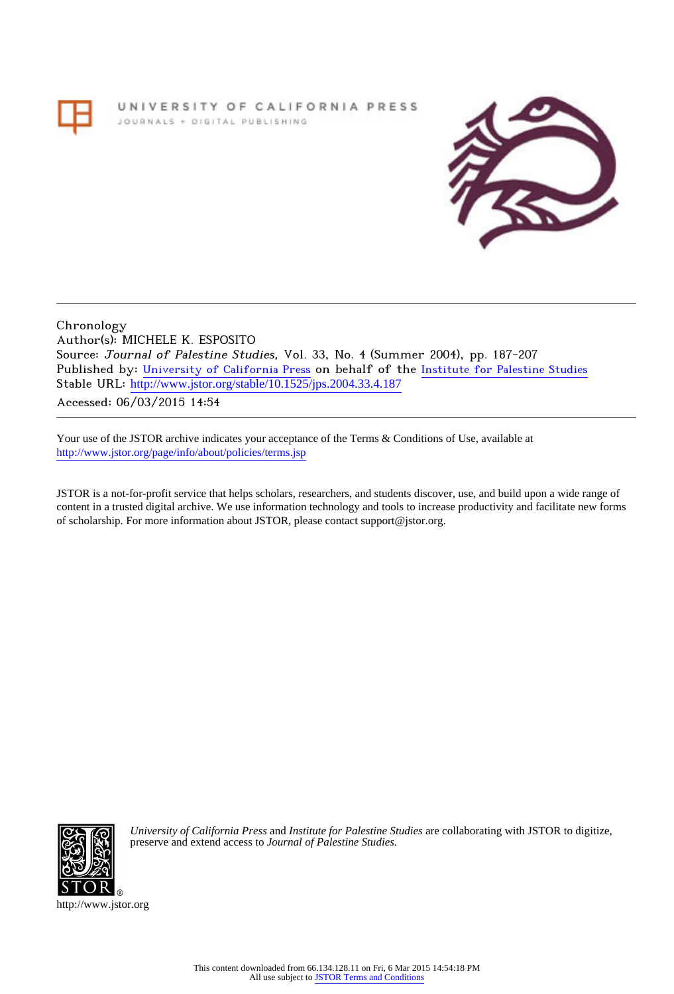# UNIVERSITY OF CALIFORNIA PRESS JOURNALS + DIGITAL PUBLISHING



Chronology Author(s): MICHELE K. ESPOSITO Source: Journal of Palestine Studies, Vol. 33, No. 4 (Summer 2004), pp. 187-207 Published by: [University of California Press](http://www.jstor.org/action/showPublisher?publisherCode=ucal) on behalf of the [Institute for Palestine Studies](http://www.jstor.org/action/showPublisher?publisherCode=palstud) Stable URL: [http://www.jstor.org/stable/10.1525/jps.2004.33.4.187](http://www.jstor.org/stable/10.1525/jps.2004.33.4.187?origin=JSTOR-pdf) .

Accessed: 06/03/2015 14:54

Your use of the JSTOR archive indicates your acceptance of the Terms & Conditions of Use, available at <http://www.jstor.org/page/info/about/policies/terms.jsp>

JSTOR is a not-for-profit service that helps scholars, researchers, and students discover, use, and build upon a wide range of content in a trusted digital archive. We use information technology and tools to increase productivity and facilitate new forms of scholarship. For more information about JSTOR, please contact support@jstor.org.



*University of California Press* and *Institute for Palestine Studies* are collaborating with JSTOR to digitize, preserve and extend access to *Journal of Palestine Studies.*

http://www.jstor.org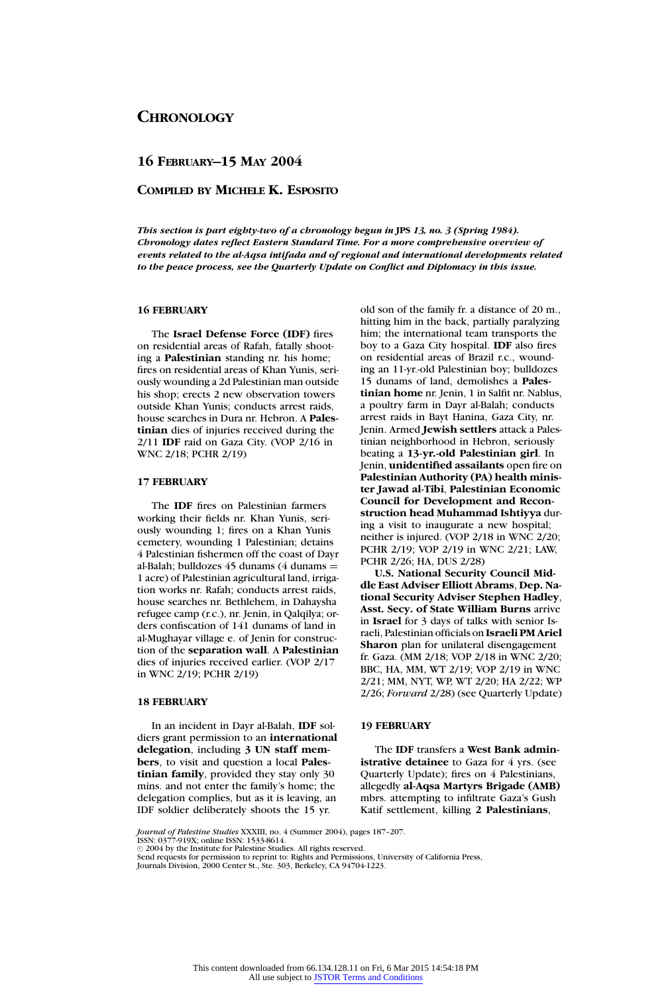# **16 FEBRUARY–15 MAY 2004**

# **COMPILED BY MICHELE K. ESPOSITO**

*This section is part eighty-two of a chronology begun in* **JPS** *13, no. 3 (Spring 1984). Chronology dates reflect Eastern Standard Time. For a more comprehensive overview of events related to the al-Aqsa intifada and of regional and international developments related to the peace process, see the Quarterly Update on Conflict and Diplomacy in this issue.*

# **16 FEBRUARY**

The **Israel Defense Force (IDF)** fires on residential areas of Rafah, fatally shooting a **Palestinian** standing nr. his home; fires on residential areas of Khan Yunis, seriously wounding a 2d Palestinian man outside his shop; erects 2 new observation towers outside Khan Yunis; conducts arrest raids, house searches in Dura nr. Hebron. A **Palestinian** dies of injuries received during the 2/11 **IDF** raid on Gaza City. (VOP 2/16 in WNC 2/18; PCHR 2/19)

# **17 FEBRUARY**

The **IDF** fires on Palestinian farmers working their fields nr. Khan Yunis, seriously wounding 1; fires on a Khan Yunis cemetery, wounding 1 Palestinian; detains 4 Palestinian fishermen off the coast of Dayr al-Balah; bulldozes  $45$  dunams (4 dunams  $=$ 1 acre) of Palestinian agricultural land, irrigation works nr. Rafah; conducts arrest raids, house searches nr. Bethlehem, in Dahaysha refugee camp (r.c.), nr. Jenin, in Qalqilya; orders confiscation of 141 dunams of land in al-Mughayar village e. of Jenin for construction of the **separation wall**. A **Palestinian** dies of injuries received earlier. (VOP 2/17 in WNC 2/19; PCHR 2/19)

# **18 FEBRUARY**

In an incident in Dayr al-Balah, **IDF** soldiers grant permission to an **international delegation**, including **3 UN staff members**, to visit and question a local **Palestinian family**, provided they stay only 30 mins. and not enter the family's home; the delegation complies, but as it is leaving, an IDF soldier deliberately shoots the 15 yr.

old son of the family fr. a distance of 20 m., hitting him in the back, partially paralyzing him; the international team transports the boy to a Gaza City hospital. **IDF** also fires on residential areas of Brazil r.c., wounding an 11-yr.-old Palestinian boy; bulldozes 15 dunams of land, demolishes a **Palestinian home** nr. Jenin, 1 in Salfit nr. Nablus, a poultry farm in Dayr al-Balah; conducts arrest raids in Bayt Hanina, Gaza City, nr. Jenin. Armed **Jewish settlers** attack a Palestinian neighborhood in Hebron, seriously beating a **13-yr.-old Palestinian girl**. In Jenin, **unidentified assailants** open fire on **Palestinian Authority (PA) health minister Jawad al-Tibi**, **Palestinian Economic Council for Development and Reconstruction head Muhammad Ishtiyya** during a visit to inaugurate a new hospital; neither is injured. (VOP 2/18 in WNC 2/20; PCHR 2/19; VOP 2/19 in WNC 2/21; LAW, PCHR 2/26; HA, DUS 2/28)

**U.S. National Security Council Middle East Adviser Elliott Abrams**, **Dep. National Security Adviser Stephen Hadley**, **Asst. Secy. of State William Burns** arrive in **Israel** for 3 days of talks with senior Israeli, Palestinian officials on **Israeli PM Ariel Sharon** plan for unilateral disengagement fr. Gaza. (MM 2/18; VOP 2/18 in WNC 2/20; BBC, HA, MM, WT 2/19; VOP 2/19 in WNC 2/21; MM, NYT, WP, WT 2/20; HA 2/22; WP 2/26; *Forward* 2/28) (see Quarterly Update)

# **19 FEBRUARY**

The **IDF** transfers a **West Bank administrative detainee** to Gaza for 4 yrs. (see Quarterly Update); fires on 4 Palestinians, allegedly **al-Aqsa Martyrs Brigade (AMB)** mbrs. attempting to infiltrate Gaza's Gush Katif settlement, killing **2 Palestinians**,

*Journal of Palestine Studies* XXXIII, no. 4 (Summer 2004), pages 187–207.

<sup>.&</sup>lt;br>7-919X; online ISSN: 1533-8614.  $\odot$  2004 by the Institute for Palestine Studies. All rights reserved.

Send requests for permission to reprint to: Rights and Permissions, University of California Press,

Journals Division, 2000 Center St., Ste. 303, Berkeley, CA 94704-1223.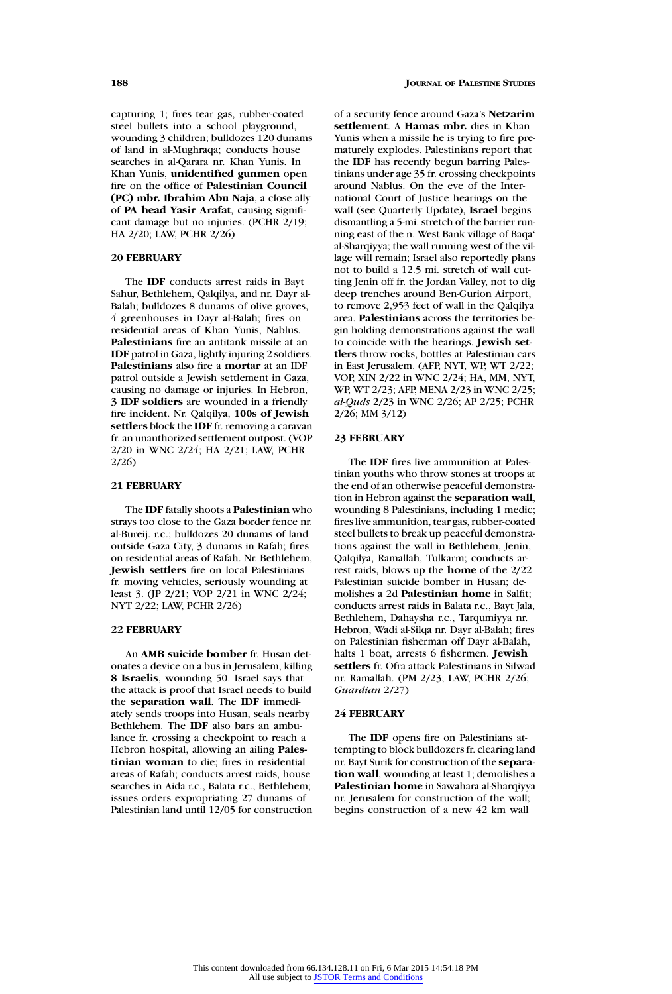capturing 1; fires tear gas, rubber-coated steel bullets into a school playground, wounding 3 children; bulldozes 120 dunams of land in al-Mughraqa; conducts house searches in al-Qarara nr. Khan Yunis. In Khan Yunis, **unidentified gunmen** open fire on the office of **Palestinian Council (PC) mbr. Ibrahim Abu Naja**, a close ally of **PA head Yasir Arafat**, causing significant damage but no injuries. (PCHR 2/19; HA 2/20; LAW, PCHR 2/26)

### **20 FEBRUARY**

The **IDF** conducts arrest raids in Bayt Sahur, Bethlehem, Qalqilya, and nr. Dayr al-Balah; bulldozes 8 dunams of olive groves, 4 greenhouses in Dayr al-Balah; fires on residential areas of Khan Yunis, Nablus. **Palestinians** fire an antitank missile at an **IDF** patrol in Gaza, lightly injuring 2 soldiers. **Palestinians** also fire a **mortar** at an IDF patrol outside a Jewish settlement in Gaza, causing no damage or injuries. In Hebron, **3 IDF soldiers** are wounded in a friendly fire incident. Nr. Qalqilya, **100s of Jewish settlers** block the **IDF** fr. removing a caravan fr. an unauthorized settlement outpost. (VOP 2/20 in WNC 2/24; HA 2/21; LAW, PCHR 2/26)

# **21 FEBRUARY**

The **IDF** fatally shoots a **Palestinian** who strays too close to the Gaza border fence nr. al-Bureij. r.c.; bulldozes 20 dunams of land outside Gaza City, 3 dunams in Rafah; fires on residential areas of Rafah. Nr. Bethlehem, **Jewish settlers** fire on local Palestinians fr. moving vehicles, seriously wounding at least 3. (JP 2/21; VOP 2/21 in WNC 2/24; NYT 2/22; LAW, PCHR 2/26)

### **22 FEBRUARY**

An **AMB suicide bomber** fr. Husan detonates a device on a bus in Jerusalem, killing **8 Israelis**, wounding 50. Israel says that the attack is proof that Israel needs to build the **separation wall**. The **IDF** immediately sends troops into Husan, seals nearby Bethlehem. The **IDF** also bars an ambulance fr. crossing a checkpoint to reach a Hebron hospital, allowing an ailing **Palestinian woman** to die; fires in residential areas of Rafah; conducts arrest raids, house searches in Aida r.c., Balata r.c., Bethlehem; issues orders expropriating 27 dunams of Palestinian land until 12/05 for construction of a security fence around Gaza's **Netzarim settlement**. A **Hamas mbr.** dies in Khan Yunis when a missile he is trying to fire prematurely explodes. Palestinians report that the **IDF** has recently begun barring Palestinians under age 35 fr. crossing checkpoints around Nablus. On the eve of the International Court of Justice hearings on the wall (see Quarterly Update), **Israel** begins dismantling a 5-mi. stretch of the barrier running east of the n. West Bank village of Baqa' al-Sharqiyya; the wall running west of the village will remain; Israel also reportedly plans not to build a 12.5 mi. stretch of wall cutting Jenin off fr. the Jordan Valley, not to dig deep trenches around Ben-Gurion Airport, to remove 2,953 feet of wall in the Qalqilya area. **Palestinians** across the territories begin holding demonstrations against the wall to coincide with the hearings. **Jewish settlers** throw rocks, bottles at Palestinian cars in East Jerusalem. (AFP, NYT, WP, WT 2/22; VOP, XIN 2/22 in WNC 2/24; HA, MM, NYT, WP, WT 2/23; AFP, MENA 2/23 in WNC 2/25; *al-Quds* 2/23 in WNC 2/26; AP 2/25; PCHR 2/26; MM 3/12)

# **23 FEBRUARY**

The **IDF** fires live ammunition at Palestinian youths who throw stones at troops at the end of an otherwise peaceful demonstration in Hebron against the **separation wall**, wounding 8 Palestinians, including 1 medic; fires live ammunition, tear gas, rubber-coated steel bullets to break up peaceful demonstrations against the wall in Bethlehem, Jenin, Qalqilya, Ramallah, Tulkarm; conducts arrest raids, blows up the **home** of the 2/22 Palestinian suicide bomber in Husan; demolishes a 2d **Palestinian home** in Salfit; conducts arrest raids in Balata r.c., Bayt Jala, Bethlehem, Dahaysha r.c., Tarqumiyya nr. Hebron, Wadi al-Silqa nr. Dayr al-Balah; fires on Palestinian fisherman off Dayr al-Balah, halts 1 boat, arrests 6 fishermen. **Jewish settlers** fr. Ofra attack Palestinians in Silwad nr. Ramallah. (PM 2/23; LAW, PCHR 2/26; *Guardian* 2/27)

### **24 FEBRUARY**

The **IDF** opens fire on Palestinians attempting to block bulldozers fr. clearing land nr. Bayt Surik for construction of the **separation wall**, wounding at least 1; demolishes a **Palestinian home** in Sawahara al-Sharqiyya nr. Jerusalem for construction of the wall; begins construction of a new 42 km wall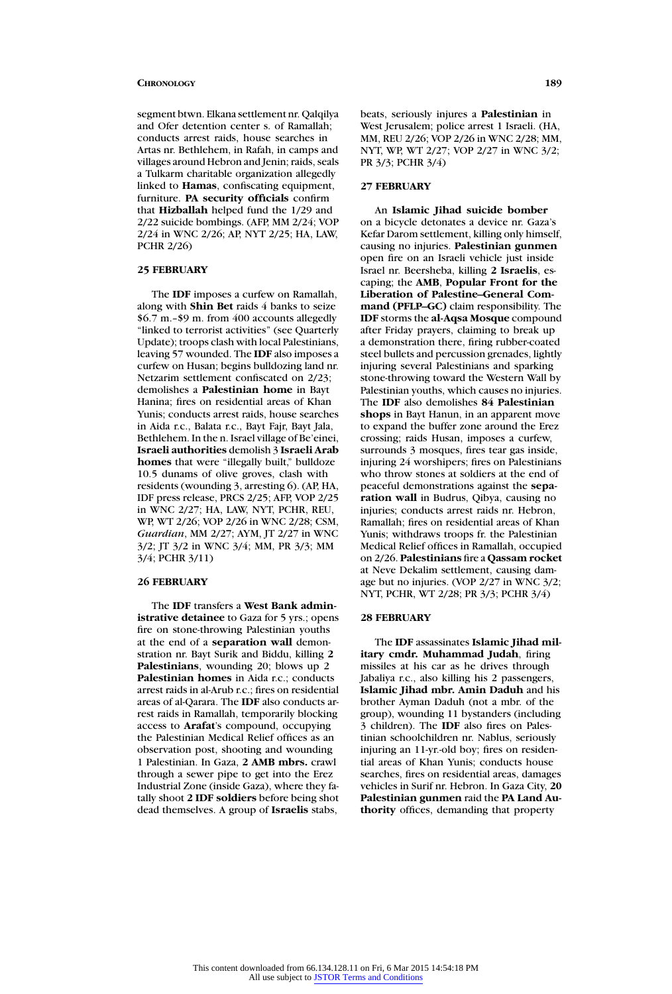segment btwn. Elkana settlement nr. Qalqilya and Ofer detention center s. of Ramallah; conducts arrest raids, house searches in Artas nr. Bethlehem, in Rafah, in camps and villages around Hebron and Jenin; raids, seals a Tulkarm charitable organization allegedly linked to **Hamas**, confiscating equipment, furniture. **PA security officials** confirm that **Hizballah** helped fund the 1/29 and 2/22 suicide bombings. (AFP, MM 2/24; VOP 2/24 in WNC 2/26; AP, NYT 2/25; HA, LAW, PCHR 2/26)

### **25 FEBRUARY**

The **IDF** imposes a curfew on Ramallah, along with **Shin Bet** raids 4 banks to seize \$6.7 m.–\$9 m. from 400 accounts allegedly "linked to terrorist activities" (see Quarterly Update); troops clash with local Palestinians, leaving 57 wounded. The **IDF** also imposes a curfew on Husan; begins bulldozing land nr. Netzarim settlement confiscated on 2/23; demolishes a **Palestinian home** in Bayt Hanina; fires on residential areas of Khan Yunis; conducts arrest raids, house searches in Aida r.c., Balata r.c., Bayt Fajr, Bayt Jala, Bethlehem. In the n. Israel village of Be'einei, **Israeli authorities** demolish 3 **Israeli Arab homes** that were "illegally built," bulldoze 10.5 dunams of olive groves, clash with residents (wounding 3, arresting 6). (AP, HA, IDF press release, PRCS 2/25; AFP, VOP 2/25 in WNC 2/27; HA, LAW, NYT, PCHR, REU, WP, WT 2/26; VOP 2/26 in WNC 2/28; CSM, *Guardian*, MM 2/27; AYM, JT 2/27 in WNC 3/2; JT 3/2 in WNC 3/4; MM, PR 3/3; MM 3/4; PCHR 3/11)

### **26 FEBRUARY**

The **IDF** transfers a **West Bank administrative detainee** to Gaza for 5 yrs.; opens fire on stone-throwing Palestinian youths at the end of a **separation wall** demonstration nr. Bayt Surik and Biddu, killing **2 Palestinians**, wounding 20; blows up 2 **Palestinian homes** in Aida r.c.; conducts arrest raids in al-Arub r.c.; fires on residential areas of al-Qarara. The **IDF** also conducts arrest raids in Ramallah, temporarily blocking access to **Arafat**'s compound, occupying the Palestinian Medical Relief offices as an observation post, shooting and wounding 1 Palestinian. In Gaza, **2 AMB mbrs.** crawl through a sewer pipe to get into the Erez Industrial Zone (inside Gaza), where they fatally shoot **2 IDF soldiers** before being shot dead themselves. A group of **Israelis** stabs,

beats, seriously injures a **Palestinian** in West Jerusalem; police arrest 1 Israeli. (HA, MM, REU 2/26; VOP 2/26 in WNC 2/28; MM, NYT, WP, WT 2/27; VOP 2/27 in WNC 3/2; PR 3/3; PCHR 3/4)

### **27 FEBRUARY**

An **Islamic Jihad suicide bomber** on a bicycle detonates a device nr. Gaza's Kefar Darom settlement, killing only himself, causing no injuries. **Palestinian gunmen** open fire on an Israeli vehicle just inside Israel nr. Beersheba, killing **2 Israelis**, escaping; the **AMB**, **Popular Front for the Liberation of Palestine–General Command (PFLP–GC)** claim responsibility. The **IDF** storms the **al-Aqsa Mosque** compound after Friday prayers, claiming to break up a demonstration there, firing rubber-coated steel bullets and percussion grenades, lightly injuring several Palestinians and sparking stone-throwing toward the Western Wall by Palestinian youths, which causes no injuries. The **IDF** also demolishes **84 Palestinian shops** in Bayt Hanun, in an apparent move to expand the buffer zone around the Erez crossing; raids Husan, imposes a curfew, surrounds 3 mosques, fires tear gas inside, injuring 24 worshipers; fires on Palestinians who throw stones at soldiers at the end of peaceful demonstrations against the **separation wall** in Budrus, Qibya, causing no injuries; conducts arrest raids nr. Hebron, Ramallah; fires on residential areas of Khan Yunis; withdraws troops fr. the Palestinian Medical Relief offices in Ramallah, occupied on 2/26. **Palestinians** fire a **Qassam rocket** at Neve Dekalim settlement, causing damage but no injuries. (VOP 2/27 in WNC 3/2; NYT, PCHR, WT 2/28; PR 3/3; PCHR 3/4)

# **28 FEBRUARY**

The **IDF** assassinates **Islamic Jihad military cmdr. Muhammad Judah**, firing missiles at his car as he drives through Jabaliya r.c., also killing his 2 passengers, **Islamic Jihad mbr. Amin Daduh** and his brother Ayman Daduh (not a mbr. of the group), wounding 11 bystanders (including 3 children). The **IDF** also fires on Palestinian schoolchildren nr. Nablus, seriously injuring an 11-yr.-old boy; fires on residential areas of Khan Yunis; conducts house searches, fires on residential areas, damages vehicles in Surif nr. Hebron. In Gaza City, **20 Palestinian gunmen** raid the **PA Land Authority** offices, demanding that property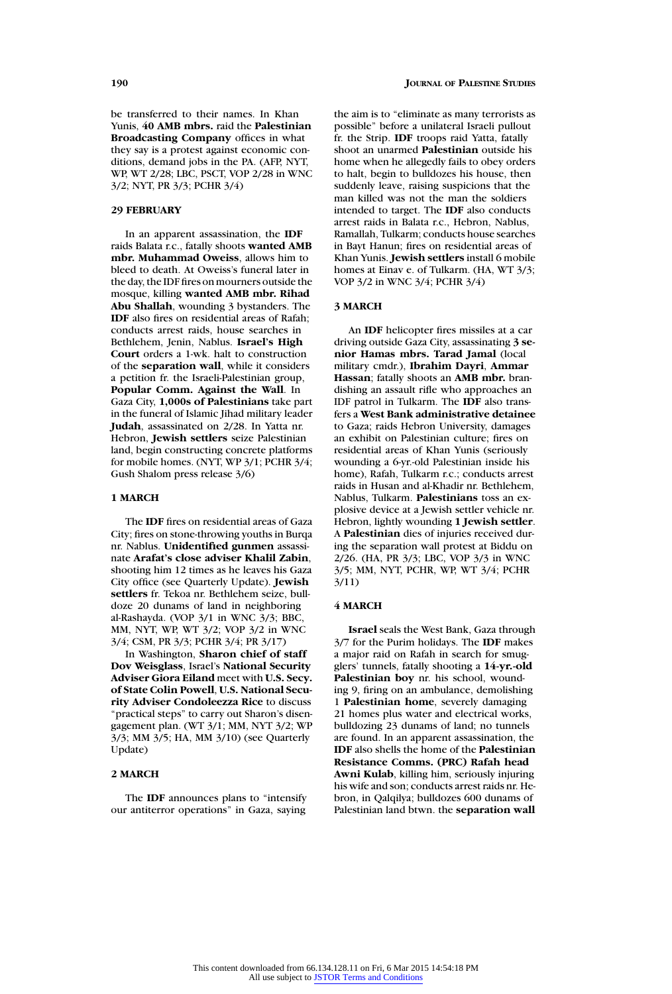be transferred to their names. In Khan Yunis, **40 AMB mbrs.** raid the **Palestinian Broadcasting Company** offices in what they say is a protest against economic conditions, demand jobs in the PA. (AFP, NYT, WP, WT 2/28; LBC, PSCT, VOP 2/28 in WNC 3/2; NYT, PR 3/3; PCHR 3/4)

### **29 FEBRUARY**

In an apparent assassination, the **IDF** raids Balata r.c., fatally shoots **wanted AMB mbr. Muhammad Oweiss**, allows him to bleed to death. At Oweiss's funeral later in the day, the IDF fires on mourners outside the mosque, killing **wanted AMB mbr. Rihad Abu Shallah**, wounding 3 bystanders. The **IDF** also fires on residential areas of Rafah; conducts arrest raids, house searches in Bethlehem, Jenin, Nablus. **Israel's High Court** orders a 1-wk. halt to construction of the **separation wall**, while it considers a petition fr. the Israeli-Palestinian group, **Popular Comm. Against the Wall**. In Gaza City, **1,000s of Palestinians** take part in the funeral of Islamic Jihad military leader **Judah**, assassinated on 2/28. In Yatta nr. Hebron, **Jewish settlers** seize Palestinian land, begin constructing concrete platforms for mobile homes. (NYT, WP 3/1; PCHR 3/4; Gush Shalom press release 3/6)

# **1 MARCH**

The **IDF** fires on residential areas of Gaza City; fires on stone-throwing youths in Burqa nr. Nablus. **Unidentified gunmen** assassinate **Arafat's close adviser Khalil Zabin**, shooting him 12 times as he leaves his Gaza City office (see Quarterly Update). **Jewish settlers** fr. Tekoa nr. Bethlehem seize, bulldoze 20 dunams of land in neighboring al-Rashayda. (VOP 3/1 in WNC 3/3; BBC, MM, NYT, WP, WT 3/2; VOP 3/2 in WNC 3/4; CSM, PR 3/3; PCHR 3/4; PR 3/17)

In Washington, **Sharon chief of staff Dov Weisglass**, Israel's **National Security Adviser Giora Eiland** meet with **U.S. Secy. of State Colin Powell**, **U.S. National Security Adviser Condoleezza Rice** to discuss "practical steps" to carry out Sharon's disengagement plan. (WT 3/1; MM, NYT 3/2; WP 3/3; MM 3/5; HA, MM 3/10) (see Quarterly Update)

### **2 MARCH**

The **IDF** announces plans to "intensify our antiterror operations" in Gaza, saying

the aim is to "eliminate as many terrorists as possible" before a unilateral Israeli pullout fr. the Strip. **IDF** troops raid Yatta, fatally shoot an unarmed **Palestinian** outside his home when he allegedly fails to obey orders to halt, begin to bulldozes his house, then suddenly leave, raising suspicions that the man killed was not the man the soldiers intended to target. The **IDF** also conducts arrest raids in Balata r.c., Hebron, Nablus, Ramallah, Tulkarm; conducts house searches in Bayt Hanun; fires on residential areas of Khan Yunis. **Jewish settlers** install 6 mobile homes at Einav e. of Tulkarm. (HA, WT 3/3; VOP 3/2 in WNC 3/4; PCHR 3/4)

# **3 MARCH**

An **IDF** helicopter fires missiles at a car driving outside Gaza City, assassinating **3 senior Hamas mbrs. Tarad Jamal** (local military cmdr.), **Ibrahim Dayri**, **Ammar Hassan**; fatally shoots an **AMB mbr.** brandishing an assault rifle who approaches an IDF patrol in Tulkarm. The **IDF** also transfers a **West Bank administrative detainee** to Gaza; raids Hebron University, damages an exhibit on Palestinian culture; fires on residential areas of Khan Yunis (seriously wounding a 6-yr.-old Palestinian inside his home), Rafah, Tulkarm r.c.; conducts arrest raids in Husan and al-Khadir nr. Bethlehem, Nablus, Tulkarm. **Palestinians** toss an explosive device at a Jewish settler vehicle nr. Hebron, lightly wounding **1 Jewish settler**. A **Palestinian** dies of injuries received during the separation wall protest at Biddu on 2/26. (HA, PR 3/3; LBC, VOP 3/3 in WNC 3/5; MM, NYT, PCHR, WP, WT 3/4; PCHR 3/11)

# **4 MARCH**

**Israel** seals the West Bank, Gaza through 3/7 for the Purim holidays. The **IDF** makes a major raid on Rafah in search for smugglers' tunnels, fatally shooting a **14-yr.-old Palestinian boy** nr. his school, wounding 9, firing on an ambulance, demolishing 1 **Palestinian home**, severely damaging 21 homes plus water and electrical works, bulldozing 23 dunams of land; no tunnels are found. In an apparent assassination, the **IDF** also shells the home of the **Palestinian Resistance Comms. (PRC) Rafah head Awni Kulab**, killing him, seriously injuring his wife and son; conducts arrest raids nr. Hebron, in Qalqilya; bulldozes 600 dunams of Palestinian land btwn. the **separation wall**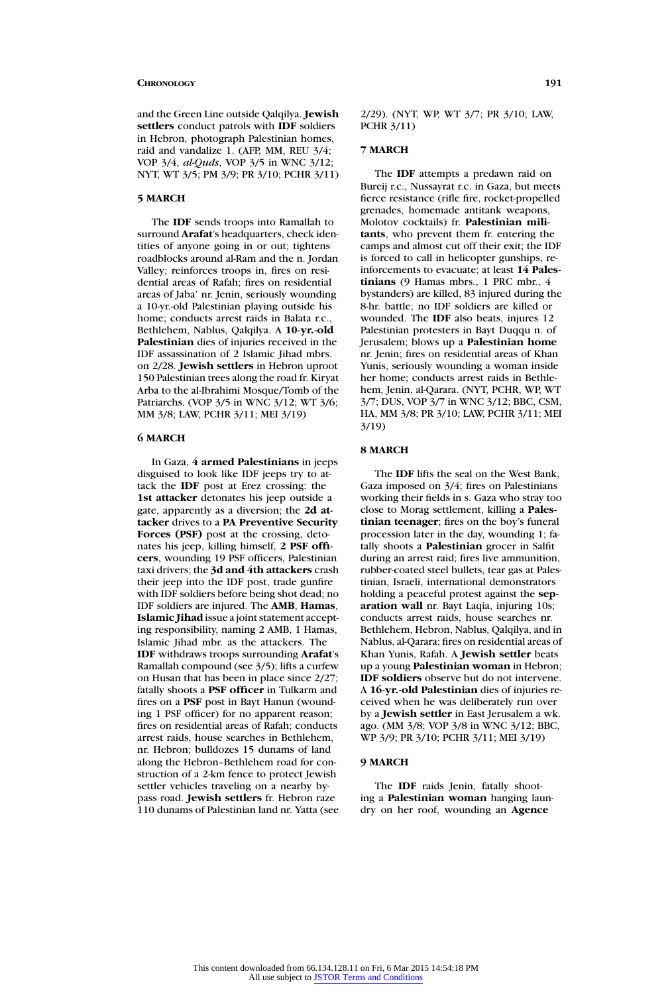and the Green Line outside Qalqilya. **Jewish settlers** conduct patrols with **IDF** soldiers in Hebron, photograph Palestinian homes, raid and vandalize 1. (AFP, MM, REU 3/4; VOP 3/4, *al-Quds*, VOP 3/5 in WNC 3/12; NYT, WT 3/5; PM 3/9; PR 3/10; PCHR 3/11)

# **5 MARCH**

The **IDF** sends troops into Ramallah to surround **Arafat**'s headquarters, check identities of anyone going in or out; tightens roadblocks around al-Ram and the n. Jordan Valley; reinforces troops in, fires on residential areas of Rafah; fires on residential areas of Jaba' nr. Jenin, seriously wounding a 10-yr.-old Palestinian playing outside his home; conducts arrest raids in Balata r.c., Bethlehem, Nablus, Qalqilya. A **10-yr.-old Palestinian** dies of injuries received in the IDF assassination of 2 Islamic Jihad mbrs. on 2/28. **Jewish settlers** in Hebron uproot 150 Palestinian trees along the road fr. Kiryat Arba to the al-Ibrahimi Mosque/Tomb of the Patriarchs. (VOP 3/5 in WNC 3/12; WT 3/6; MM 3/8; LAW, PCHR 3/11; MEI 3/19)

# **6 MARCH**

In Gaza, **4 armed Palestinians** in jeeps disguised to look like IDF jeeps try to attack the **IDF** post at Erez crossing: the **1st attacker** detonates his jeep outside a gate, apparently as a diversion; the **2d attacker** drives to a **PA Preventive Security Forces (PSF)** post at the crossing, detonates his jeep, killing himself, **2 PSF officers**, wounding 19 PSF officers, Palestinian taxi drivers; the **3d and 4th attackers** crash their jeep into the IDF post, trade gunfire with IDF soldiers before being shot dead; no IDF soldiers are injured. The **AMB**, **Hamas**, **Islamic Jihad** issue a joint statement accepting responsibility, naming 2 AMB, 1 Hamas, Islamic Jihad mbr. as the attackers. The **IDF** withdraws troops surrounding **Arafat**'s Ramallah compound (see 3/5); lifts a curfew on Husan that has been in place since 2/27; fatally shoots a **PSF officer** in Tulkarm and fires on a **PSF** post in Bayt Hanun (wounding 1 PSF officer) for no apparent reason; fires on residential areas of Rafah; conducts arrest raids, house searches in Bethlehem, nr. Hebron; bulldozes 15 dunams of land along the Hebron–Bethlehem road for construction of a 2-km fence to protect Jewish settler vehicles traveling on a nearby bypass road. **Jewish settlers** fr. Hebron raze 110 dunams of Palestinian land nr. Yatta (see

# **7 MARCH**

The **IDF** attempts a predawn raid on Bureij r.c., Nussayrat r.c. in Gaza, but meets fierce resistance (rifle fire, rocket-propelled grenades, homemade antitank weapons, Molotov cocktails) fr. **Palestinian militants**, who prevent them fr. entering the camps and almost cut off their exit; the IDF is forced to call in helicopter gunships, reinforcements to evacuate; at least **14 Palestinians** (9 Hamas mbrs., 1 PRC mbr., 4 bystanders) are killed, 83 injured during the 8-hr. battle; no IDF soldiers are killed or wounded. The **IDF** also beats, injures 12 Palestinian protesters in Bayt Duqqu n. of Jerusalem; blows up a **Palestinian home** nr. Jenin; fires on residential areas of Khan Yunis, seriously wounding a woman inside her home; conducts arrest raids in Bethlehem, Jenin, al-Qarara. (NYT, PCHR, WP, WT 3/7; DUS, VOP 3/7 in WNC 3/12; BBC, CSM, HA, MM 3/8; PR 3/10; LAW, PCHR 3/11; MEI 3/19)

### **8 MARCH**

The **IDF** lifts the seal on the West Bank, Gaza imposed on 3/4; fires on Palestinians working their fields in s. Gaza who stray too close to Morag settlement, killing a **Palestinian teenager**; fires on the boy's funeral procession later in the day, wounding 1; fatally shoots a **Palestinian** grocer in Salfit during an arrest raid; fires live ammunition, rubber-coated steel bullets, tear gas at Palestinian, Israeli, international demonstrators holding a peaceful protest against the **separation wall** nr. Bayt Laqia, injuring 10s; conducts arrest raids, house searches nr. Bethlehem, Hebron, Nablus, Qalqilya, and in Nablus, al-Qarara; fires on residential areas of Khan Yunis, Rafah. A **Jewish settler** beats up a young **Palestinian woman** in Hebron; **IDF soldiers** observe but do not intervene. A **16-yr.-old Palestinian** dies of injuries received when he was deliberately run over by a **Jewish settler** in East Jerusalem a wk. ago. (MM 3/8; VOP 3/8 in WNC 3/12; BBC, WP 3/9; PR 3/10; PCHR 3/11; MEI 3/19)

### **9 MARCH**

The **IDF** raids Jenin, fatally shooting a **Palestinian woman** hanging laundry on her roof, wounding an **Agence**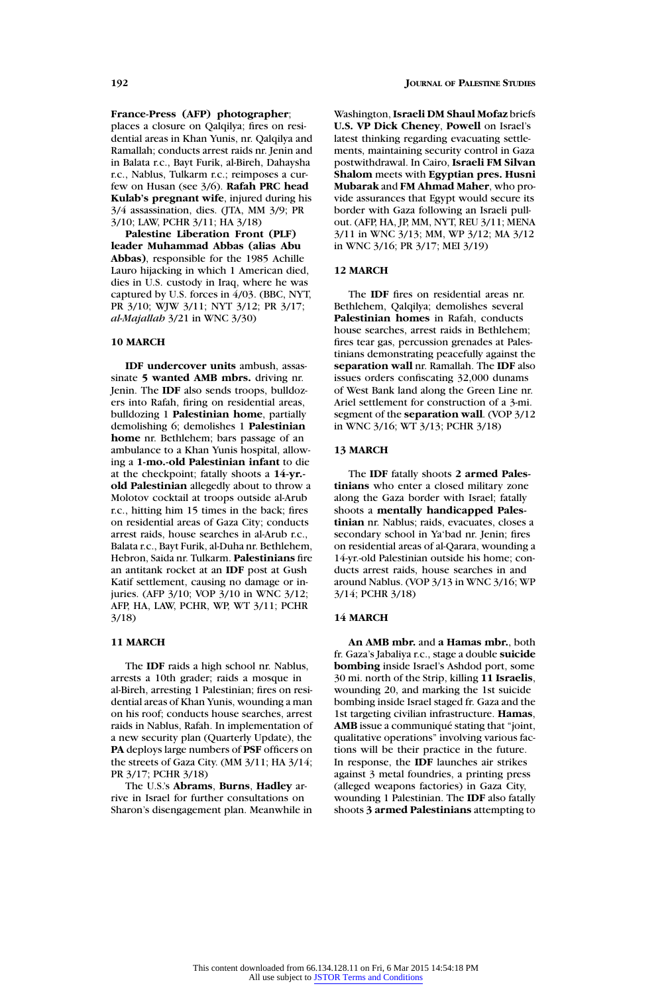### **France-Press (AFP) photographer**;

places a closure on Qalqilya; fires on residential areas in Khan Yunis, nr. Qalqilya and Ramallah; conducts arrest raids nr. Jenin and in Balata r.c., Bayt Furik, al-Bireh, Dahaysha r.c., Nablus, Tulkarm r.c.; reimposes a curfew on Husan (see 3/6). **Rafah PRC head Kulab's pregnant wife**, injured during his 3/4 assassination, dies. (JTA, MM 3/9; PR 3/10; LAW, PCHR 3/11; HA 3/18)

**Palestine Liberation Front (PLF) leader Muhammad Abbas (alias Abu Abbas)**, responsible for the 1985 Achille Lauro hijacking in which 1 American died, dies in U.S. custody in Iraq, where he was captured by U.S. forces in 4/03. (BBC, NYT, PR 3/10; WJW 3/11; NYT 3/12; PR 3/17; *al-Majallah* 3/21 in WNC 3/30)

# **10 MARCH**

**IDF undercover units** ambush, assassinate **5 wanted AMB mbrs.** driving nr. Jenin. The **IDF** also sends troops, bulldozers into Rafah, firing on residential areas, bulldozing 1 **Palestinian home**, partially demolishing 6; demolishes 1 **Palestinian home** nr. Bethlehem; bars passage of an ambulance to a Khan Yunis hospital, allowing a **1-mo.-old Palestinian infant** to die at the checkpoint; fatally shoots a **14-yr. old Palestinian** allegedly about to throw a Molotov cocktail at troops outside al-Arub r.c., hitting him 15 times in the back; fires on residential areas of Gaza City; conducts arrest raids, house searches in al-Arub r.c., Balata r.c., Bayt Furik, al-Duha nr. Bethlehem, Hebron, Saida nr. Tulkarm. **Palestinians** fire an antitank rocket at an **IDF** post at Gush Katif settlement, causing no damage or injuries. (AFP 3/10; VOP 3/10 in WNC 3/12; AFP, HA, LAW, PCHR, WP, WT 3/11; PCHR 3/18)

# **11 MARCH**

The **IDF** raids a high school nr. Nablus, arrests a 10th grader; raids a mosque in al-Bireh, arresting 1 Palestinian; fires on residential areas of Khan Yunis, wounding a man on his roof; conducts house searches, arrest raids in Nablus, Rafah. In implementation of a new security plan (Quarterly Update), the **PA** deploys large numbers of **PSF** officers on the streets of Gaza City. (MM 3/11; HA 3/14; PR 3/17; PCHR 3/18)

The U.S.'s **Abrams**, **Burns**, **Hadley** arrive in Israel for further consultations on Sharon's disengagement plan. Meanwhile in Washington, **Israeli DM Shaul Mofaz** briefs **U.S. VP Dick Cheney**, **Powell** on Israel's latest thinking regarding evacuating settlements, maintaining security control in Gaza postwithdrawal. In Cairo, **Israeli FM Silvan Shalom** meets with **Egyptian pres. Husni Mubarak** and **FM Ahmad Maher**, who provide assurances that Egypt would secure its border with Gaza following an Israeli pullout. (AFP, HA, JP, MM, NYT, REU 3/11; MENA 3/11 in WNC 3/13; MM, WP 3/12; MA 3/12 in WNC 3/16; PR 3/17; MEI 3/19)

### **12 MARCH**

The **IDF** fires on residential areas nr. Bethlehem, Qalqilya; demolishes several **Palestinian homes** in Rafah, conducts house searches, arrest raids in Bethlehem; fires tear gas, percussion grenades at Palestinians demonstrating peacefully against the **separation wall** nr. Ramallah. The **IDF** also issues orders confiscating 32,000 dunams of West Bank land along the Green Line nr. Ariel settlement for construction of a 3-mi. segment of the **separation wall**. (VOP 3/12 in WNC 3/16; WT 3/13; PCHR 3/18)

### **13 MARCH**

The **IDF** fatally shoots **2 armed Palestinians** who enter a closed military zone along the Gaza border with Israel; fatally shoots a **mentally handicapped Palestinian** nr. Nablus; raids, evacuates, closes a secondary school in Ya'bad nr. Jenin; fires on residential areas of al-Qarara, wounding a 14-yr.-old Palestinian outside his home; conducts arrest raids, house searches in and around Nablus. (VOP 3/13 in WNC 3/16; WP 3/14; PCHR 3/18)

# **14 MARCH**

**An AMB mbr.** and **a Hamas mbr.**, both fr. Gaza's Jabaliya r.c., stage a double **suicide bombing** inside Israel's Ashdod port, some 30 mi. north of the Strip, killing **11 Israelis**, wounding 20, and marking the 1st suicide bombing inside Israel staged fr. Gaza and the 1st targeting civilian infrastructure. **Hamas**, **AMB** issue a communiqué stating that "joint, qualitative operations" involving various factions will be their practice in the future. In response, the **IDF** launches air strikes against 3 metal foundries, a printing press (alleged weapons factories) in Gaza City, wounding 1 Palestinian. The **IDF** also fatally shoots **3 armed Palestinians** attempting to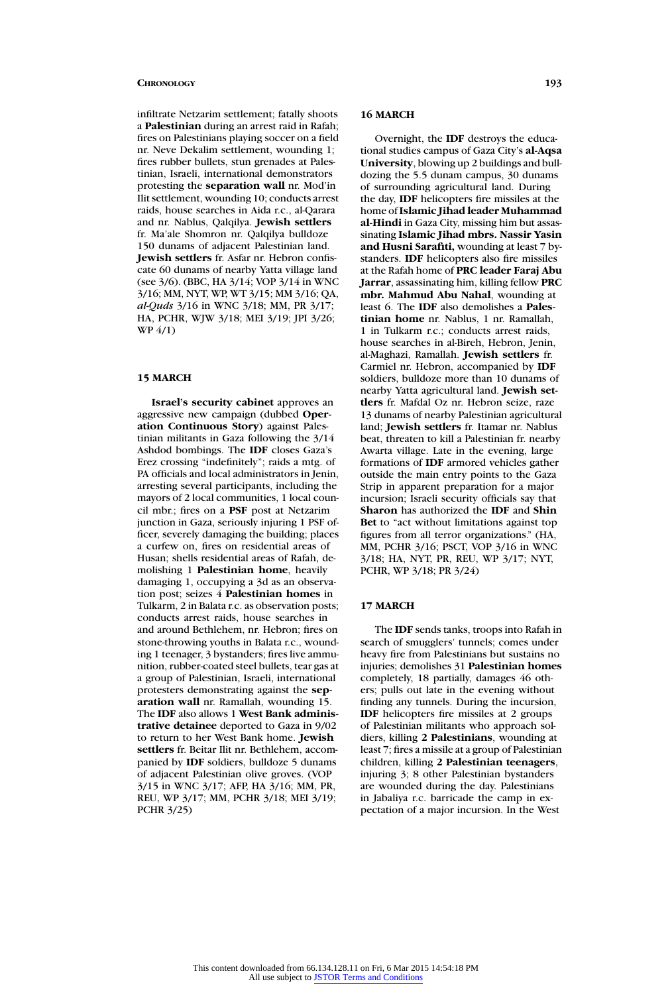infiltrate Netzarim settlement; fatally shoots a **Palestinian** during an arrest raid in Rafah; fires on Palestinians playing soccer on a field nr. Neve Dekalim settlement, wounding 1; fires rubber bullets, stun grenades at Palestinian, Israeli, international demonstrators protesting the **separation wall** nr. Mod'in Ilit settlement, wounding 10; conducts arrest raids, house searches in Aida r.c., al-Qarara and nr. Nablus, Qalqilya. **Jewish settlers** fr. Ma'ale Shomron nr. Qalqilya bulldoze 150 dunams of adjacent Palestinian land. **Jewish settlers** fr. Asfar nr. Hebron confiscate 60 dunams of nearby Yatta village land (see 3/6). (BBC, HA 3/14; VOP 3/14 in WNC 3/16; MM, NYT, WP, WT 3/15; MM 3/16; QA, *al-Quds* 3/16 in WNC 3/18; MM, PR 3/17; HA, PCHR, WJW 3/18; MEI 3/19; JPI 3/26; WP 4/1)

### **15 MARCH**

**Israel's security cabinet** approves an aggressive new campaign (dubbed **Operation Continuous Story**) against Palestinian militants in Gaza following the 3/14 Ashdod bombings. The **IDF** closes Gaza's Erez crossing "indefinitely"; raids a mtg. of PA officials and local administrators in Jenin, arresting several participants, including the mayors of 2 local communities, 1 local council mbr.; fires on a **PSF** post at Netzarim junction in Gaza, seriously injuring 1 PSF officer, severely damaging the building; places a curfew on, fires on residential areas of Husan; shells residential areas of Rafah, demolishing 1 **Palestinian home**, heavily damaging 1, occupying a 3d as an observation post; seizes 4 **Palestinian homes** in Tulkarm, 2 in Balata r.c. as observation posts; conducts arrest raids, house searches in and around Bethlehem, nr. Hebron; fires on stone-throwing youths in Balata r.c., wounding 1 teenager, 3 bystanders; fires live ammunition, rubber-coated steel bullets, tear gas at a group of Palestinian, Israeli, international protesters demonstrating against the **separation wall** nr. Ramallah, wounding 15. The **IDF** also allows 1 **West Bank administrative detainee** deported to Gaza in 9/02 to return to her West Bank home. **Jewish settlers** fr. Beitar Ilit nr. Bethlehem, accompanied by **IDF** soldiers, bulldoze 5 dunams of adjacent Palestinian olive groves. (VOP 3/15 in WNC 3/17; AFP, HA 3/16; MM, PR, REU, WP 3/17; MM, PCHR 3/18; MEI 3/19; PCHR 3/25)

### **16 MARCH**

Overnight, the **IDF** destroys the educational studies campus of Gaza City's **al-Aqsa University**, blowing up 2 buildings and bulldozing the 5.5 dunam campus, 30 dunams of surrounding agricultural land. During the day, **IDF** helicopters fire missiles at the home of**Islamic Jihad leader Muhammad al-Hindi** in Gaza City, missing him but assassinating **Islamic Jihad mbrs. Nassir Yasin and Husni Sarafiti,** wounding at least 7 bystanders. **IDF** helicopters also fire missiles at the Rafah home of **PRC leader Faraj Abu Jarrar**, assassinating him, killing fellow **PRC mbr. Mahmud Abu Nahal**, wounding at least 6. The **IDF** also demolishes a **Palestinian home** nr. Nablus, 1 nr. Ramallah, 1 in Tulkarm r.c.; conducts arrest raids, house searches in al-Bireh, Hebron, Jenin, al-Maghazi, Ramallah. **Jewish settlers** fr. Carmiel nr. Hebron, accompanied by **IDF** soldiers, bulldoze more than 10 dunams of nearby Yatta agricultural land. **Jewish settlers** fr. Mafdal Oz nr. Hebron seize, raze 13 dunams of nearby Palestinian agricultural land; **Jewish settlers** fr. Itamar nr. Nablus beat, threaten to kill a Palestinian fr. nearby Awarta village. Late in the evening, large formations of **IDF** armored vehicles gather outside the main entry points to the Gaza Strip in apparent preparation for a major incursion; Israeli security officials say that **Sharon** has authorized the **IDF** and **Shin Bet** to "act without limitations against top figures from all terror organizations." (HA, MM, PCHR 3/16; PSCT, VOP 3/16 in WNC 3/18; HA, NYT, PR, REU, WP 3/17; NYT, PCHR, WP 3/18; PR 3/24)

# **17 MARCH**

The **IDF** sends tanks, troops into Rafah in search of smugglers' tunnels; comes under heavy fire from Palestinians but sustains no injuries; demolishes 31 **Palestinian homes** completely, 18 partially, damages 46 others; pulls out late in the evening without finding any tunnels. During the incursion, **IDF** helicopters fire missiles at 2 groups of Palestinian militants who approach soldiers, killing **2 Palestinians**, wounding at least 7; fires a missile at a group of Palestinian children, killing **2 Palestinian teenagers**, injuring 3; 8 other Palestinian bystanders are wounded during the day. Palestinians in Jabaliya r.c. barricade the camp in expectation of a major incursion. In the West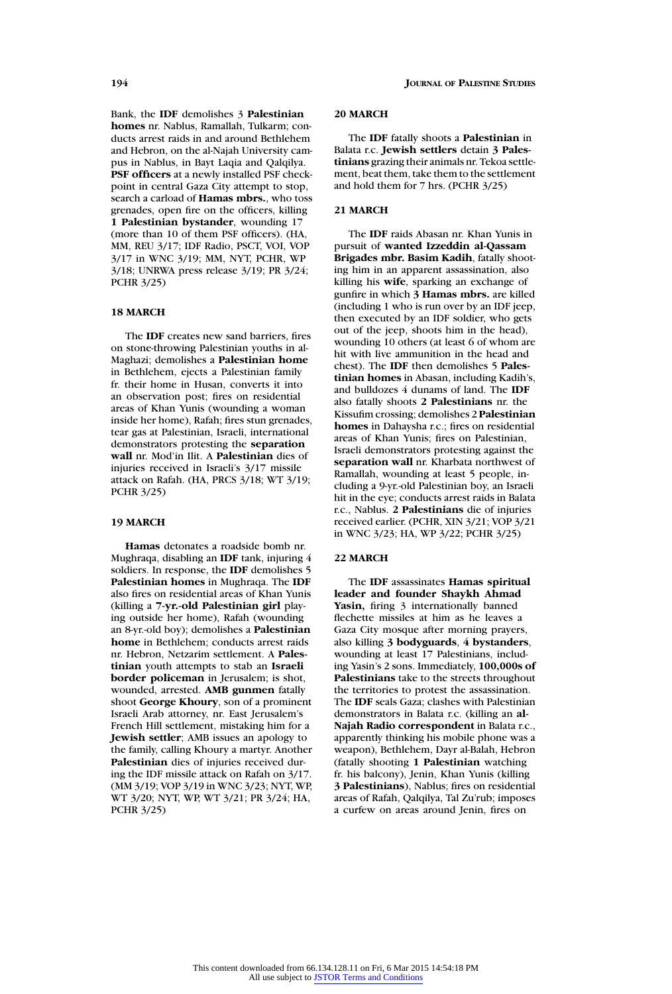Bank, the **IDF** demolishes 3 **Palestinian homes** nr. Nablus, Ramallah, Tulkarm; conducts arrest raids in and around Bethlehem and Hebron, on the al-Najah University campus in Nablus, in Bayt Laqia and Qalqilya. **PSF officers** at a newly installed PSF checkpoint in central Gaza City attempt to stop, search a carload of **Hamas mbrs.**, who toss grenades, open fire on the officers, killing **1 Palestinian bystander**, wounding 17 (more than 10 of them PSF officers). (HA, MM, REU 3/17; IDF Radio, PSCT, VOI, VOP 3/17 in WNC 3/19; MM, NYT, PCHR, WP 3/18; UNRWA press release 3/19; PR 3/24; PCHR 3/25)

# **18 MARCH**

The **IDF** creates new sand barriers, fires on stone-throwing Palestinian youths in al-Maghazi; demolishes a **Palestinian home** in Bethlehem, ejects a Palestinian family fr. their home in Husan, converts it into an observation post; fires on residential areas of Khan Yunis (wounding a woman inside her home), Rafah; fires stun grenades, tear gas at Palestinian, Israeli, international demonstrators protesting the **separation wall** nr. Mod'in Ilit. A **Palestinian** dies of injuries received in Israeli's 3/17 missile attack on Rafah. (HA, PRCS 3/18; WT 3/19; PCHR 3/25)

# **19 MARCH**

**Hamas** detonates a roadside bomb nr. Mughraqa, disabling an **IDF** tank, injuring 4 soldiers. In response, the **IDF** demolishes 5 **Palestinian homes** in Mughraqa. The **IDF** also fires on residential areas of Khan Yunis (killing a **7-yr.-old Palestinian girl** playing outside her home), Rafah (wounding an 8-yr.-old boy); demolishes a **Palestinian home** in Bethlehem; conducts arrest raids nr. Hebron, Netzarim settlement. A **Palestinian** youth attempts to stab an **Israeli border policeman** in Jerusalem; is shot, wounded, arrested. **AMB gunmen** fatally shoot **George Khoury**, son of a prominent Israeli Arab attorney, nr. East Jerusalem's French Hill settlement, mistaking him for a **Jewish settler**; AMB issues an apology to the family, calling Khoury a martyr. Another **Palestinian** dies of injuries received during the IDF missile attack on Rafah on 3/17. (MM 3/19; VOP 3/19 in WNC 3/23; NYT, WP, WT 3/20; NYT, WP, WT 3/21; PR 3/24; HA, PCHR 3/25)

### **20 MARCH**

The **IDF** fatally shoots a **Palestinian** in Balata r.c. **Jewish settlers** detain **3 Palestinians** grazing their animals nr. Tekoa settlement, beat them, take them to the settlement and hold them for 7 hrs. (PCHR 3/25)

# **21 MARCH**

The **IDF** raids Abasan nr. Khan Yunis in pursuit of **wanted Izzeddin al-Qassam Brigades mbr. Basim Kadih**, fatally shooting him in an apparent assassination, also killing his **wife**, sparking an exchange of gunfire in which **3 Hamas mbrs.** are killed (including 1 who is run over by an IDF jeep, then executed by an IDF soldier, who gets out of the jeep, shoots him in the head), wounding 10 others (at least 6 of whom are hit with live ammunition in the head and chest). The **IDF** then demolishes 5 **Palestinian homes** in Abasan, including Kadih's, and bulldozes 4 dunams of land. The **IDF** also fatally shoots **2 Palestinians** nr. the Kissufim crossing; demolishes 2 **Palestinian homes** in Dahaysha r.c.; fires on residential areas of Khan Yunis; fires on Palestinian, Israeli demonstrators protesting against the **separation wall** nr. Kharbata northwest of Ramallah, wounding at least 5 people, including a 9-yr.-old Palestinian boy, an Israeli hit in the eye; conducts arrest raids in Balata r.c., Nablus. **2 Palestinians** die of injuries received earlier. (PCHR, XIN 3/21; VOP 3/21 in WNC 3/23; HA, WP 3/22; PCHR 3/25)

### **22 MARCH**

The **IDF** assassinates **Hamas spiritual leader and founder Shaykh Ahmad Yasin,** firing 3 internationally banned flechette missiles at him as he leaves a Gaza City mosque after morning prayers, also killing **3 bodyguards**, **4 bystanders**, wounding at least 17 Palestinians, including Yasin's 2 sons. Immediately, **100,000s of Palestinians** take to the streets throughout the territories to protest the assassination. The **IDF** seals Gaza; clashes with Palestinian demonstrators in Balata r.c. (killing an **al-Najah Radio correspondent** in Balata r.c., apparently thinking his mobile phone was a weapon), Bethlehem, Dayr al-Balah, Hebron (fatally shooting **1 Palestinian** watching fr. his balcony), Jenin, Khan Yunis (killing **3 Palestinians**), Nablus; fires on residential areas of Rafah, Qalqilya, Tal Zu'rub; imposes a curfew on areas around Jenin, fires on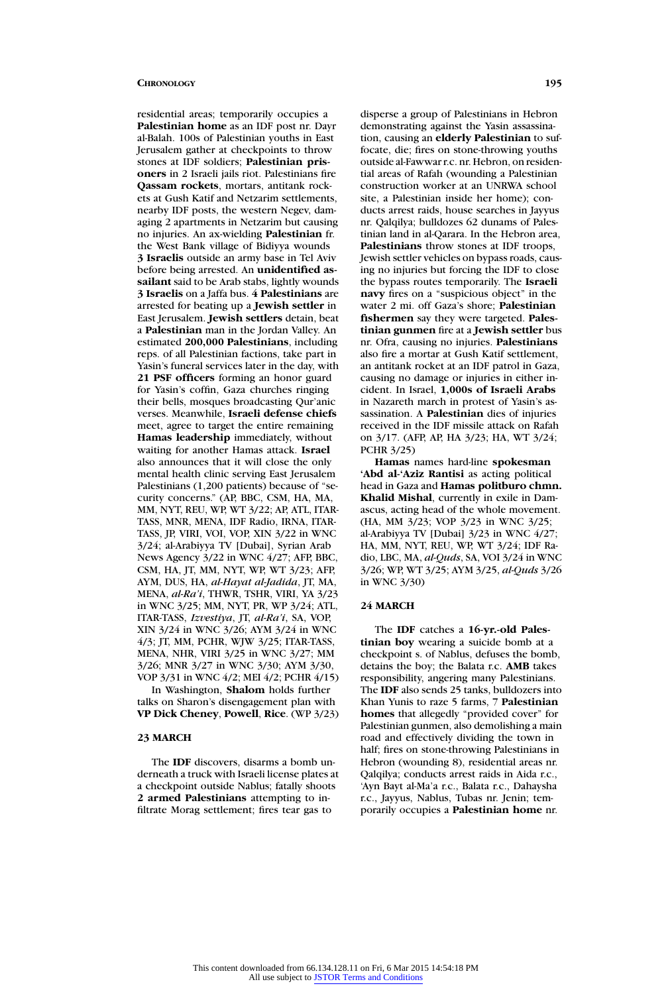residential areas; temporarily occupies a **Palestinian home** as an IDF post nr. Dayr al-Balah. 100s of Palestinian youths in East Jerusalem gather at checkpoints to throw stones at IDF soldiers; **Palestinian prisoners** in 2 Israeli jails riot. Palestinians fire **Qassam rockets**, mortars, antitank rockets at Gush Katif and Netzarim settlements, nearby IDF posts, the western Negev, damaging 2 apartments in Netzarim but causing no injuries. An ax-wielding **Palestinian** fr. the West Bank village of Bidiyya wounds **3 Israelis** outside an army base in Tel Aviv before being arrested. An **unidentified assailant** said to be Arab stabs, lightly wounds **3 Israelis** on a Jaffa bus. **4 Palestinians** are arrested for beating up a **Jewish settler** in East Jerusalem. **Jewish settlers** detain, beat a **Palestinian** man in the Jordan Valley. An estimated **200,000 Palestinians**, including reps. of all Palestinian factions, take part in Yasin's funeral services later in the day, with **21 PSF officers** forming an honor guard for Yasin's coffin, Gaza churches ringing their bells, mosques broadcasting Qur'anic verses. Meanwhile, **Israeli defense chiefs** meet, agree to target the entire remaining **Hamas leadership** immediately, without waiting for another Hamas attack. **Israel** also announces that it will close the only mental health clinic serving East Jerusalem Palestinians (1,200 patients) because of "security concerns." (AP, BBC, CSM, HA, MA, MM, NYT, REU, WP, WT 3/22; AP, ATL, ITAR-TASS, MNR, MENA, IDF Radio, IRNA, ITAR-TASS, JP, VIRI, VOI, VOP, XIN 3/22 in WNC 3/24; al-Arabiyya TV [Dubai], Syrian Arab News Agency 3/22 in WNC 4/27; AFP, BBC, CSM, HA, JT, MM, NYT, WP, WT 3/23; AFP, AYM, DUS, HA, *al-Hayat al-Jadida*, JT, MA, MENA, *al-Ra'i*, THWR, TSHR, VIRI, YA 3/23 in WNC 3/25; MM, NYT, PR, WP 3/24; ATL, ITAR-TASS, *Izvestiya*, JT, *al-Ra'i*, SA, VOP, XIN 3/24 in WNC 3/26; AYM 3/24 in WNC 4/3; JT, MM, PCHR, WJW 3/25; ITAR-TASS, MENA, NHR, VIRI 3/25 in WNC 3/27; MM 3/26; MNR 3/27 in WNC 3/30; AYM 3/30, VOP 3/31 in WNC 4/2; MEI 4/2; PCHR 4/15)

In Washington, **Shalom** holds further talks on Sharon's disengagement plan with **VP Dick Cheney**, **Powell**, **Rice**. (WP 3/23)

# **23 MARCH**

The **IDF** discovers, disarms a bomb underneath a truck with Israeli license plates at a checkpoint outside Nablus; fatally shoots **2 armed Palestinians** attempting to infiltrate Morag settlement; fires tear gas to

disperse a group of Palestinians in Hebron demonstrating against the Yasin assassination, causing an **elderly Palestinian** to suffocate, die; fires on stone-throwing youths outside al-Fawwar r.c. nr. Hebron, on residential areas of Rafah (wounding a Palestinian construction worker at an UNRWA school site, a Palestinian inside her home); conducts arrest raids, house searches in Jayyus nr. Qalqilya; bulldozes 62 dunams of Palestinian land in al-Qarara. In the Hebron area, **Palestinians** throw stones at IDF troops, Jewish settler vehicles on bypass roads, causing no injuries but forcing the IDF to close the bypass routes temporarily. The **Israeli navy** fires on a "suspicious object" in the water 2 mi. off Gaza's shore; **Palestinian fishermen** say they were targeted. **Palestinian gunmen** fire at a **Jewish settler** bus nr. Ofra, causing no injuries. **Palestinians** also fire a mortar at Gush Katif settlement, an antitank rocket at an IDF patrol in Gaza, causing no damage or injuries in either incident. In Israel, **1,000s of Israeli Arabs** in Nazareth march in protest of Yasin's assassination. A **Palestinian** dies of injuries received in the IDF missile attack on Rafah on 3/17. (AFP, AP, HA 3/23; HA, WT 3/24; PCHR 3/25)

**Hamas** names hard-line **spokesman 'Abd al-'Aziz Rantisi** as acting political head in Gaza and **Hamas politburo chmn. Khalid Mishal**, currently in exile in Damascus, acting head of the whole movement. (HA, MM 3/23; VOP 3/23 in WNC 3/25; al-Arabiyya TV [Dubai] 3/23 in WNC 4/27; HA, MM, NYT, REU, WP, WT 3/24; IDF Radio, LBC, MA, *al-Quds*, SA, VOI 3/24 in WNC 3/26; WP, WT 3/25; AYM 3/25, *al-Quds* 3/26 in WNC 3/30)

### **24 MARCH**

The **IDF** catches a **16-yr.-old Palestinian boy** wearing a suicide bomb at a checkpoint s. of Nablus, defuses the bomb, detains the boy; the Balata r.c. **AMB** takes responsibility, angering many Palestinians. The **IDF** also sends 25 tanks, bulldozers into Khan Yunis to raze 5 farms, 7 **Palestinian homes** that allegedly "provided cover" for Palestinian gunmen, also demolishing a main road and effectively dividing the town in half; fires on stone-throwing Palestinians in Hebron (wounding 8), residential areas nr. Qalqilya; conducts arrest raids in Aida r.c., 'Ayn Bayt al-Ma'a r.c., Balata r.c., Dahaysha r.c., Jayyus, Nablus, Tubas nr. Jenin; temporarily occupies a **Palestinian home** nr.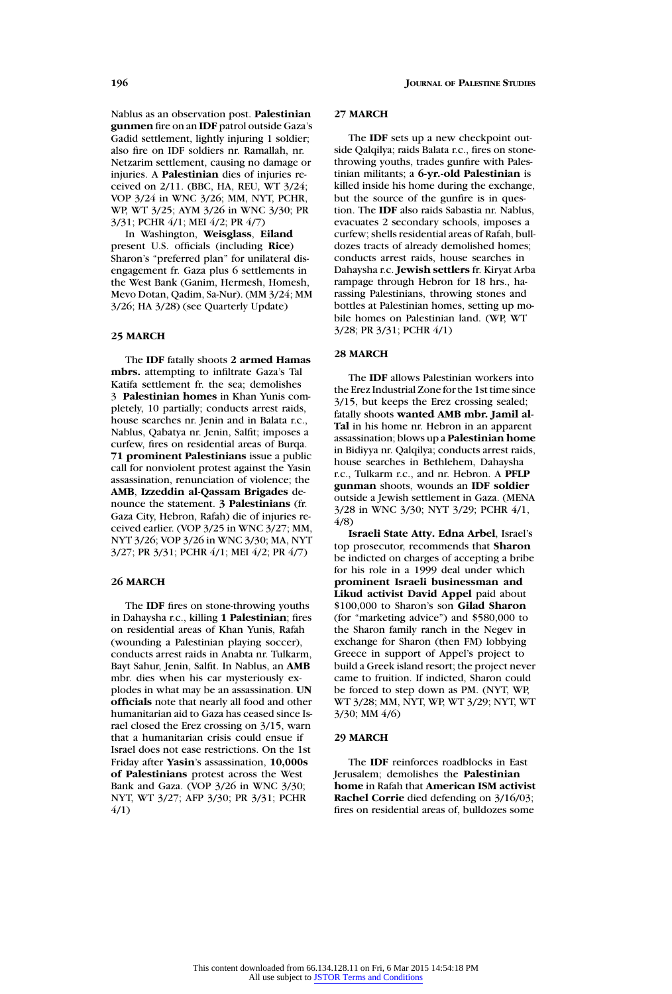Nablus as an observation post. **Palestinian gunmen** fire on an **IDF** patrol outside Gaza's Gadid settlement, lightly injuring 1 soldier; also fire on IDF soldiers nr. Ramallah, nr. Netzarim settlement, causing no damage or injuries. A **Palestinian** dies of injuries received on 2/11. (BBC, HA, REU, WT 3/24; VOP 3/24 in WNC 3/26; MM, NYT, PCHR, WP, WT 3/25; AYM 3/26 in WNC 3/30; PR 3/31; PCHR 4/1; MEI 4/2; PR 4/7)

In Washington, **Weisglass**, **Eiland** present U.S. officials (including **Rice**) Sharon's "preferred plan" for unilateral disengagement fr. Gaza plus 6 settlements in the West Bank (Ganim, Hermesh, Homesh, Mevo Dotan, Qadim, Sa-Nur). (MM 3/24; MM 3/26; HA 3/28) (see Quarterly Update)

### **25 MARCH**

The **IDF** fatally shoots **2 armed Hamas mbrs.** attempting to infiltrate Gaza's Tal Katifa settlement fr. the sea; demolishes 3 **Palestinian homes** in Khan Yunis completely, 10 partially; conducts arrest raids, house searches nr. Jenin and in Balata r.c., Nablus, Qabatya nr. Jenin, Salfit; imposes a curfew, fires on residential areas of Burqa. **71 prominent Palestinians** issue a public call for nonviolent protest against the Yasin assassination, renunciation of violence; the **AMB**, **Izzeddin al-Qassam Brigades** denounce the statement. **3 Palestinians** (fr. Gaza City, Hebron, Rafah) die of injuries received earlier. (VOP 3/25 in WNC 3/27; MM, NYT 3/26; VOP 3/26 in WNC 3/30; MA, NYT 3/27; PR 3/31; PCHR 4/1; MEI 4/2; PR 4/7)

### **26 MARCH**

The **IDF** fires on stone-throwing youths in Dahaysha r.c., killing **1 Palestinian**; fires on residential areas of Khan Yunis, Rafah (wounding a Palestinian playing soccer), conducts arrest raids in Anabta nr. Tulkarm, Bayt Sahur, Jenin, Salfit. In Nablus, an **AMB** mbr. dies when his car mysteriously explodes in what may be an assassination. **UN officials** note that nearly all food and other humanitarian aid to Gaza has ceased since Israel closed the Erez crossing on 3/15, warn that a humanitarian crisis could ensue if Israel does not ease restrictions. On the 1st Friday after **Yasin**'s assassination, **10,000s of Palestinians** protest across the West Bank and Gaza. (VOP 3/26 in WNC 3/30; NYT, WT 3/27; AFP 3/30; PR 3/31; PCHR 4/1)

### **27 MARCH**

The **IDF** sets up a new checkpoint outside Qalqilya; raids Balata r.c., fires on stonethrowing youths, trades gunfire with Palestinian militants; a **6-yr.-old Palestinian** is killed inside his home during the exchange, but the source of the gunfire is in question. The **IDF** also raids Sabastia nr. Nablus, evacuates 2 secondary schools, imposes a curfew; shells residential areas of Rafah, bulldozes tracts of already demolished homes; conducts arrest raids, house searches in Dahaysha r.c. **Jewish settlers** fr. Kiryat Arba rampage through Hebron for 18 hrs., harassing Palestinians, throwing stones and bottles at Palestinian homes, setting up mobile homes on Palestinian land. (WP, WT 3/28; PR 3/31; PCHR 4/1)

### **28 MARCH**

The **IDF** allows Palestinian workers into the Erez Industrial Zone for the 1st time since 3/15, but keeps the Erez crossing sealed; fatally shoots **wanted AMB mbr. Jamil al-Tal** in his home nr. Hebron in an apparent assassination; blows up a **Palestinian home** in Bidiyya nr. Qalqilya; conducts arrest raids, house searches in Bethlehem, Dahaysha r.c., Tulkarm r.c., and nr. Hebron. A **PFLP gunman** shoots, wounds an **IDF soldier** outside a Jewish settlement in Gaza. (MENA 3/28 in WNC 3/30; NYT 3/29; PCHR 4/1, 4/8)

**Israeli State Atty. Edna Arbel**, Israel's top prosecutor, recommends that **Sharon** be indicted on charges of accepting a bribe for his role in a 1999 deal under which **prominent Israeli businessman and Likud activist David Appel** paid about \$100,000 to Sharon's son **Gilad Sharon** (for "marketing advice") and \$580,000 to the Sharon family ranch in the Negev in exchange for Sharon (then FM) lobbying Greece in support of Appel's project to build a Greek island resort; the project never came to fruition. If indicted, Sharon could be forced to step down as PM. (NYT, WP, WT 3/28; MM, NYT, WP, WT 3/29; NYT, WT 3/30; MM 4/6)

### **29 MARCH**

The **IDF** reinforces roadblocks in East Jerusalem; demolishes the **Palestinian home** in Rafah that **American ISM activist Rachel Corrie** died defending on 3/16/03; fires on residential areas of, bulldozes some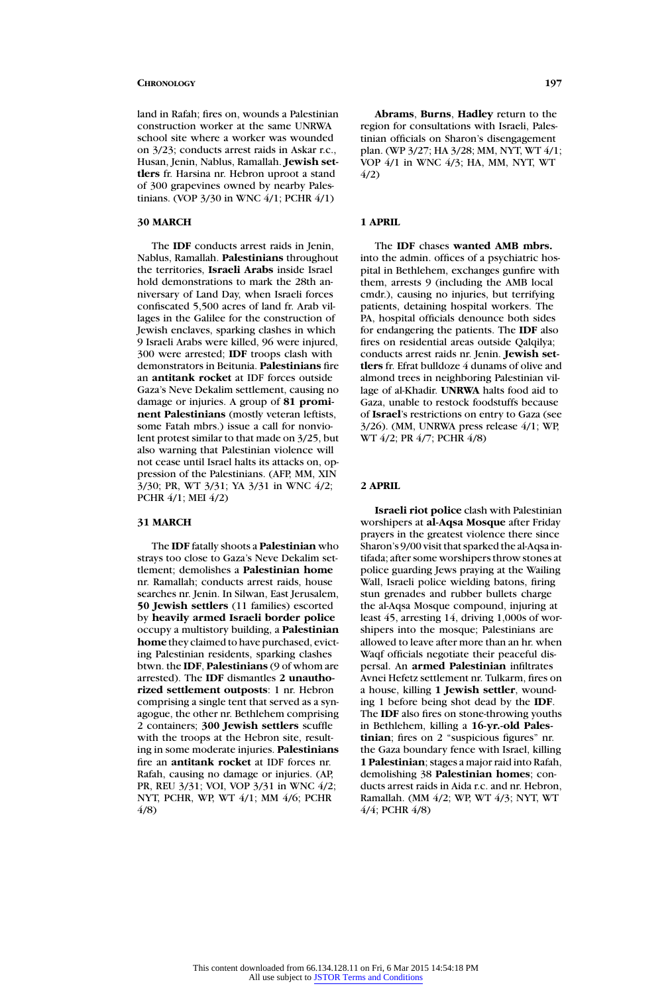land in Rafah; fires on, wounds a Palestinian construction worker at the same UNRWA school site where a worker was wounded on 3/23; conducts arrest raids in Askar r.c., Husan, Jenin, Nablus, Ramallah. **Jewish settlers** fr. Harsina nr. Hebron uproot a stand of 300 grapevines owned by nearby Palestinians. (VOP 3/30 in WNC 4/1; PCHR 4/1)

# **30 MARCH**

The **IDF** conducts arrest raids in Jenin, Nablus, Ramallah. **Palestinians** throughout the territories, **Israeli Arabs** inside Israel hold demonstrations to mark the 28th anniversary of Land Day, when Israeli forces confiscated 5,500 acres of land fr. Arab villages in the Galilee for the construction of Jewish enclaves, sparking clashes in which 9 Israeli Arabs were killed, 96 were injured, 300 were arrested; **IDF** troops clash with demonstrators in Beitunia. **Palestinians** fire an **antitank rocket** at IDF forces outside Gaza's Neve Dekalim settlement, causing no damage or injuries. A group of **81 prominent Palestinians** (mostly veteran leftists, some Fatah mbrs.) issue a call for nonviolent protest similar to that made on 3/25, but also warning that Palestinian violence will not cease until Israel halts its attacks on, oppression of the Palestinians. (AFP, MM, XIN 3/30; PR, WT 3/31; YA 3/31 in WNC 4/2; PCHR 4/1; MEI 4/2)

### **31 MARCH**

The **IDF** fatally shoots a **Palestinian** who strays too close to Gaza's Neve Dekalim settlement; demolishes a **Palestinian home** nr. Ramallah; conducts arrest raids, house searches nr. Jenin. In Silwan, East Jerusalem, **50 Jewish settlers** (11 families) escorted by **heavily armed Israeli border police** occupy a multistory building, a **Palestinian home** they claimed to have purchased, evicting Palestinian residents, sparking clashes btwn. the **IDF**, **Palestinians** (9 of whom are arrested). The **IDF** dismantles **2 unauthorized settlement outposts**: 1 nr. Hebron comprising a single tent that served as a synagogue, the other nr. Bethlehem comprising 2 containers; **300 Jewish settlers** scuffle with the troops at the Hebron site, resulting in some moderate injuries. **Palestinians** fire an **antitank rocket** at IDF forces nr. Rafah, causing no damage or injuries. (AP, PR, REU 3/31; VOI, VOP 3/31 in WNC 4/2; NYT, PCHR, WP, WT 4/1; MM 4/6; PCHR 4/8)

**Abrams**, **Burns**, **Hadley** return to the region for consultations with Israeli, Palestinian officials on Sharon's disengagement plan. (WP 3/27; HA 3/28; MM, NYT, WT 4/1; VOP 4/1 in WNC 4/3; HA, MM, NYT, WT 4/2)

# **1 APRIL**

The **IDF** chases **wanted AMB mbrs.** into the admin. offices of a psychiatric hospital in Bethlehem, exchanges gunfire with them, arrests 9 (including the AMB local cmdr.), causing no injuries, but terrifying patients, detaining hospital workers. The PA, hospital officials denounce both sides for endangering the patients. The **IDF** also fires on residential areas outside Qalqilya; conducts arrest raids nr. Jenin. **Jewish settlers** fr. Efrat bulldoze 4 dunams of olive and almond trees in neighboring Palestinian village of al-Khadir. **UNRWA** halts food aid to Gaza, unable to restock foodstuffs because of **Israel**'s restrictions on entry to Gaza (see 3/26). (MM, UNRWA press release 4/1; WP, WT 4/2; PR 4/7; PCHR 4/8)

# **2 APRIL**

**Israeli riot police** clash with Palestinian worshipers at **al-Aqsa Mosque** after Friday prayers in the greatest violence there since Sharon's 9/00 visit that sparked the al-Aqsa intifada; after some worshipers throw stones at police guarding Jews praying at the Wailing Wall, Israeli police wielding batons, firing stun grenades and rubber bullets charge the al-Aqsa Mosque compound, injuring at least 45, arresting 14, driving 1,000s of worshipers into the mosque; Palestinians are allowed to leave after more than an hr. when Waqf officials negotiate their peaceful dispersal. An **armed Palestinian** infiltrates Avnei Hefetz settlement nr. Tulkarm, fires on a house, killing **1 Jewish settler**, wounding 1 before being shot dead by the **IDF**. The **IDF** also fires on stone-throwing youths in Bethlehem, killing a **16-yr.-old Palestinian**; fires on 2 "suspicious figures" nr. the Gaza boundary fence with Israel, killing 1 **Palestinian**; stages a major raid into Rafah, demolishing 38 **Palestinian homes**; conducts arrest raids in Aida r.c. and nr. Hebron, Ramallah. (MM 4/2; WP, WT 4/3; NYT, WT 4/4; PCHR 4/8)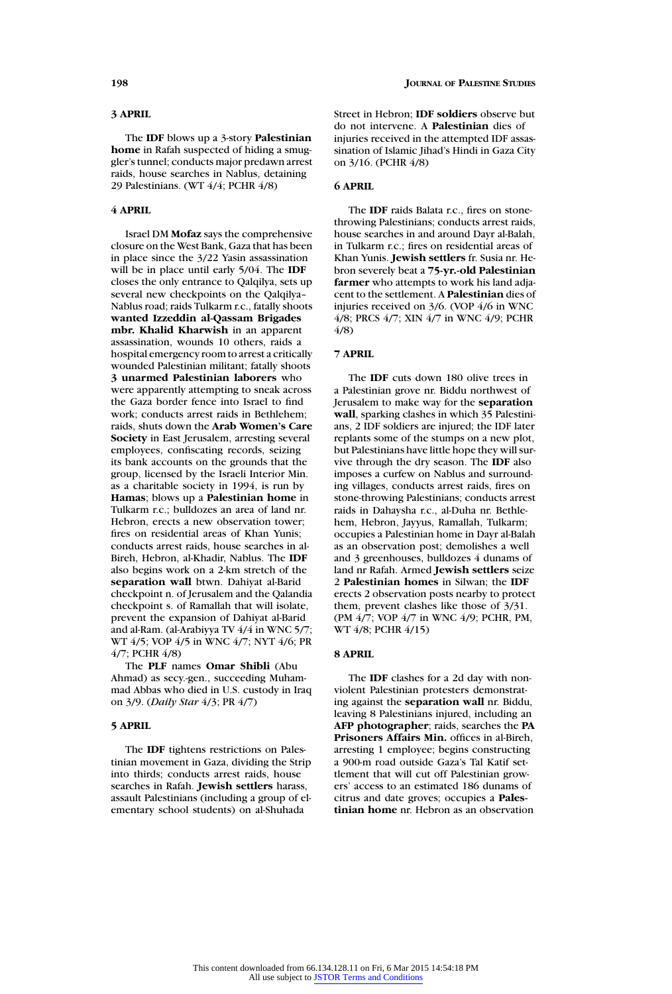# **3 APRIL**

The **IDF** blows up a 3-story **Palestinian home** in Rafah suspected of hiding a smuggler's tunnel; conducts major predawn arrest raids, house searches in Nablus, detaining 29 Palestinians. (WT 4/4; PCHR 4/8)

# **4 APRIL**

Israel DM **Mofaz** says the comprehensive closure on the West Bank, Gaza that has been in place since the 3/22 Yasin assassination will be in place until early 5/04. The **IDF** closes the only entrance to Qalqilya, sets up several new checkpoints on the Qalqilya– Nablus road; raids Tulkarm r.c., fatally shoots **wanted Izzeddin al-Qassam Brigades mbr. Khalid Kharwish** in an apparent assassination, wounds 10 others, raids a hospital emergency room to arrest a critically wounded Palestinian militant; fatally shoots **3 unarmed Palestinian laborers** who were apparently attempting to sneak across the Gaza border fence into Israel to find work; conducts arrest raids in Bethlehem; raids, shuts down the **Arab Women's Care Society** in East Jerusalem, arresting several employees, confiscating records, seizing its bank accounts on the grounds that the group, licensed by the Israeli Interior Min. as a charitable society in 1994, is run by **Hamas**; blows up a **Palestinian home** in Tulkarm r.c.; bulldozes an area of land nr. Hebron, erects a new observation tower; fires on residential areas of Khan Yunis; conducts arrest raids, house searches in al-Bireh, Hebron, al-Khadir, Nablus. The **IDF** also begins work on a 2-km stretch of the **separation wall** btwn. Dahiyat al-Barid checkpoint n. of Jerusalem and the Qalandia checkpoint s. of Ramallah that will isolate, prevent the expansion of Dahiyat al-Barid and al-Ram. (al-Arabiyya TV 4/4 in WNC 5/7; WT 4/5; VOP 4/5 in WNC 4/7; NYT 4/6; PR 4/7; PCHR 4/8)

The **PLF** names **Omar Shibli** (Abu Ahmad) as secy.-gen., succeeding Muhammad Abbas who died in U.S. custody in Iraq on 3/9. (*Daily Star* 4/3; PR 4/7)

# **5 APRIL**

The **IDF** tightens restrictions on Palestinian movement in Gaza, dividing the Strip into thirds; conducts arrest raids, house searches in Rafah. **Jewish settlers** harass, assault Palestinians (including a group of elementary school students) on al-Shuhada

Street in Hebron; **IDF soldiers** observe but do not intervene. A **Palestinian** dies of injuries received in the attempted IDF assassination of Islamic Jihad's Hindi in Gaza City on 3/16. (PCHR 4/8)

### **6 APRIL**

The **IDF** raids Balata r.c., fires on stonethrowing Palestinians; conducts arrest raids, house searches in and around Dayr al-Balah, in Tulkarm r.c.; fires on residential areas of Khan Yunis. **Jewish settlers** fr. Susia nr. Hebron severely beat a **75-yr.-old Palestinian farmer** who attempts to work his land adjacent to the settlement. A **Palestinian** dies of injuries received on 3/6. (VOP 4/6 in WNC 4/8; PRCS 4/7; XIN 4/7 in WNC 4/9; PCHR 4/8)

# **7 APRIL**

The **IDF** cuts down 180 olive trees in a Palestinian grove nr. Biddu northwest of Jerusalem to make way for the **separation wall**, sparking clashes in which 35 Palestinians, 2 IDF soldiers are injured; the IDF later replants some of the stumps on a new plot, but Palestinians have little hope they will survive through the dry season. The **IDF** also imposes a curfew on Nablus and surrounding villages, conducts arrest raids, fires on stone-throwing Palestinians; conducts arrest raids in Dahaysha r.c., al-Duha nr. Bethlehem, Hebron, Jayyus, Ramallah, Tulkarm; occupies a Palestinian home in Dayr al-Balah as an observation post; demolishes a well and 3 greenhouses, bulldozes 4 dunams of land nr Rafah. Armed **Jewish settlers** seize 2 **Palestinian homes** in Silwan; the **IDF** erects 2 observation posts nearby to protect them, prevent clashes like those of 3/31. (PM 4/7; VOP 4/7 in WNC 4/9; PCHR, PM, WT 4/8; PCHR 4/15)

# **8 APRIL**

The **IDF** clashes for a 2d day with nonviolent Palestinian protesters demonstrating against the **separation wall** nr. Biddu, leaving 8 Palestinians injured, including an **AFP photographer**; raids, searches the **PA Prisoners Affairs Min.** offices in al-Bireh, arresting 1 employee; begins constructing a 900-m road outside Gaza's Tal Katif settlement that will cut off Palestinian growers' access to an estimated 186 dunams of citrus and date groves; occupies a **Palestinian home** nr. Hebron as an observation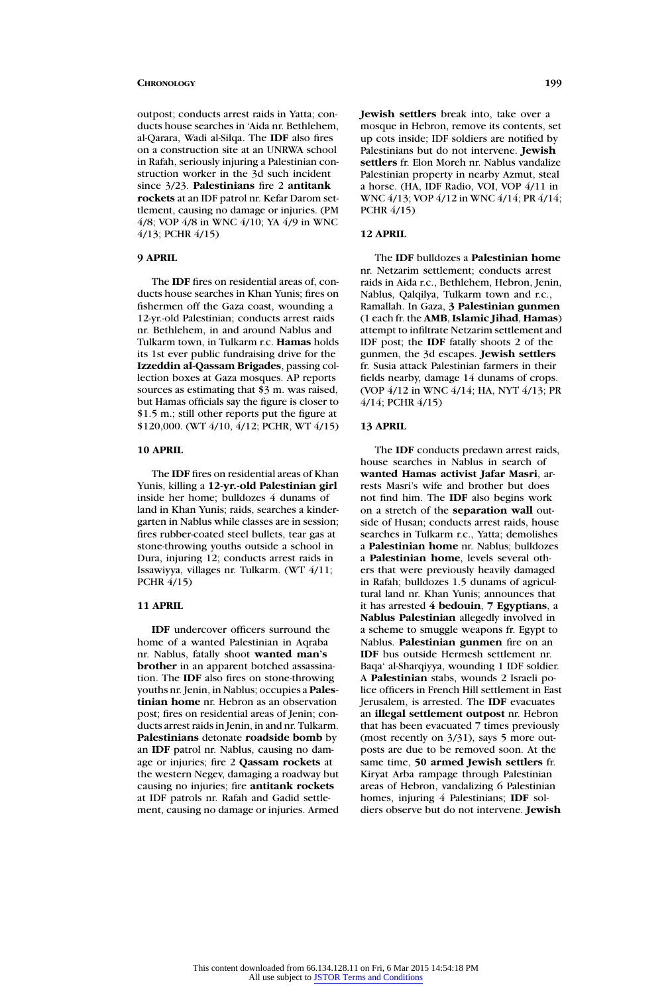outpost; conducts arrest raids in Yatta; conducts house searches in 'Aida nr. Bethlehem, al-Qarara, Wadi al-Silqa. The **IDF** also fires on a construction site at an UNRWA school in Rafah, seriously injuring a Palestinian construction worker in the 3d such incident since 3/23. **Palestinians** fire 2 **antitank rockets** at an IDF patrol nr. Kefar Darom settlement, causing no damage or injuries. (PM 4/8; VOP 4/8 in WNC 4/10; YA 4/9 in WNC 4/13; PCHR 4/15)

### **9 APRIL**

The **IDF** fires on residential areas of, conducts house searches in Khan Yunis; fires on fishermen off the Gaza coast, wounding a 12-yr.-old Palestinian; conducts arrest raids nr. Bethlehem, in and around Nablus and Tulkarm town, in Tulkarm r.c. **Hamas** holds its 1st ever public fundraising drive for the **Izzeddin al-Qassam Brigades**, passing collection boxes at Gaza mosques. AP reports sources as estimating that \$3 m. was raised, but Hamas officials say the figure is closer to \$1.5 m.; still other reports put the figure at \$120,000. (WT 4/10, 4/12; PCHR, WT 4/15)

### **10 APRIL**

The **IDF** fires on residential areas of Khan Yunis, killing a **12-yr.-old Palestinian girl** inside her home; bulldozes 4 dunams of land in Khan Yunis; raids, searches a kindergarten in Nablus while classes are in session; fires rubber-coated steel bullets, tear gas at stone-throwing youths outside a school in Dura, injuring 12; conducts arrest raids in Issawiyya, villages nr. Tulkarm. (WT 4/11; PCHR 4/15)

# **11 APRIL**

**IDF** undercover officers surround the home of a wanted Palestinian in Aqraba nr. Nablus, fatally shoot **wanted man's brother** in an apparent botched assassination. The **IDF** also fires on stone-throwing youths nr. Jenin, in Nablus; occupies a **Palestinian home** nr. Hebron as an observation post; fires on residential areas of Jenin; conducts arrest raids in Jenin, in and nr. Tulkarm. **Palestinians** detonate **roadside bomb** by an **IDF** patrol nr. Nablus, causing no damage or injuries; fire 2 **Qassam rockets** at the western Negev, damaging a roadway but causing no injuries; fire **antitank rockets** at IDF patrols nr. Rafah and Gadid settlement, causing no damage or injuries. Armed **Jewish settlers** break into, take over a mosque in Hebron, remove its contents, set up cots inside; IDF soldiers are notified by Palestinians but do not intervene. **Jewish settlers** fr. Elon Moreh nr. Nablus vandalize Palestinian property in nearby Azmut, steal a horse. (HA, IDF Radio, VOI, VOP 4/11 in WNC 4/13; VOP 4/12 in WNC 4/14; PR 4/14; PCHR 4/15)

### **12 APRIL**

The **IDF** bulldozes a **Palestinian home** nr. Netzarim settlement; conducts arrest raids in Aida r.c., Bethlehem, Hebron, Jenin, Nablus, Qalqilya, Tulkarm town and r.c., Ramallah. In Gaza, **3 Palestinian gunmen** (1 each fr. the **AMB**, **Islamic Jihad**, **Hamas**) attempt to infiltrate Netzarim settlement and IDF post; the **IDF** fatally shoots 2 of the gunmen, the 3d escapes. **Jewish settlers** fr. Susia attack Palestinian farmers in their fields nearby, damage 14 dunams of crops. (VOP 4/12 in WNC 4/14; HA, NYT 4/13; PR 4/14; PCHR 4/15)

# **13 APRIL**

The **IDF** conducts predawn arrest raids, house searches in Nablus in search of **wanted Hamas activist Jafar Masri**, arrests Masri's wife and brother but does not find him. The **IDF** also begins work on a stretch of the **separation wall** outside of Husan; conducts arrest raids, house searches in Tulkarm r.c., Yatta; demolishes a **Palestinian home** nr. Nablus; bulldozes a **Palestinian home**, levels several others that were previously heavily damaged in Rafah; bulldozes 1.5 dunams of agricultural land nr. Khan Yunis; announces that it has arrested **4 bedouin**, **7 Egyptians**, a **Nablus Palestinian** allegedly involved in a scheme to smuggle weapons fr. Egypt to Nablus. **Palestinian gunmen** fire on an **IDF** bus outside Hermesh settlement nr. Baqa' al-Sharqiyya, wounding 1 IDF soldier. A **Palestinian** stabs, wounds 2 Israeli police officers in French Hill settlement in East Jerusalem, is arrested. The **IDF** evacuates an **illegal settlement outpost** nr. Hebron that has been evacuated 7 times previously (most recently on 3/31), says 5 more outposts are due to be removed soon. At the same time, **50 armed Jewish settlers** fr. Kiryat Arba rampage through Palestinian areas of Hebron, vandalizing 6 Palestinian homes, injuring 4 Palestinians; **IDF** soldiers observe but do not intervene. **Jewish**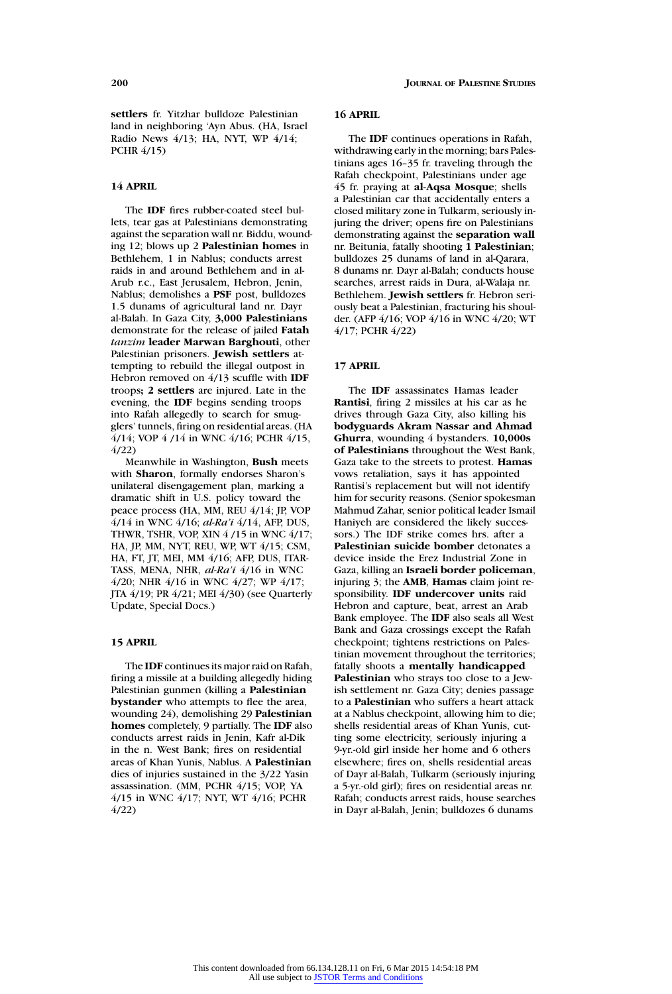**settlers** fr. Yitzhar bulldoze Palestinian land in neighboring 'Ayn Abus. (HA, Israel Radio News 4/13; HA, NYT, WP 4/14; PCHR 4/15)

### **14 APRIL**

The **IDF** fires rubber-coated steel bullets, tear gas at Palestinians demonstrating against the separation wall nr. Biddu, wounding 12; blows up 2 **Palestinian homes** in Bethlehem, 1 in Nablus; conducts arrest raids in and around Bethlehem and in al-Arub r.c., East Jerusalem, Hebron, Jenin, Nablus; demolishes a **PSF** post, bulldozes 1.5 dunams of agricultural land nr. Dayr al-Balah. In Gaza City, **3,000 Palestinians** demonstrate for the release of jailed **Fatah** *tanzim* **leader Marwan Barghouti**, other Palestinian prisoners. **Jewish settlers** attempting to rebuild the illegal outpost in Hebron removed on 4/13 scuffle with **IDF** troops**; 2 settlers** are injured. Late in the evening, the **IDF** begins sending troops into Rafah allegedly to search for smugglers' tunnels, firing on residential areas. (HA 4/14; VOP 4 /14 in WNC 4/16; PCHR 4/15, 4/22)

Meanwhile in Washington, **Bush** meets with **Sharon**, formally endorses Sharon's unilateral disengagement plan, marking a dramatic shift in U.S. policy toward the peace process (HA, MM, REU 4/14; JP, VOP 4/14 in WNC 4/16; *al-Ra'i* 4/14, AFP, DUS, THWR, TSHR, VOP, XIN 4 /15 in WNC 4/17; HA, JP, MM, NYT, REU, WP, WT 4/15; CSM, HA, FT, JT, MEI, MM 4/16; AFP, DUS, ITAR-TASS, MENA, NHR, *al-Ra'i* 4/16 in WNC 4/20; NHR 4/16 in WNC 4/27; WP 4/17; JTA 4/19; PR 4/21; MEI 4/30) (see Quarterly Update, Special Docs.)

### **15 APRIL**

The **IDF** continues its major raid on Rafah, firing a missile at a building allegedly hiding Palestinian gunmen (killing a **Palestinian bystander** who attempts to flee the area, wounding 24), demolishing 29 **Palestinian homes** completely, 9 partially. The **IDF** also conducts arrest raids in Jenin, Kafr al-Dik in the n. West Bank; fires on residential areas of Khan Yunis, Nablus. A **Palestinian** dies of injuries sustained in the 3/22 Yasin assassination. (MM, PCHR 4/15; VOP, YA 4/15 in WNC 4/17; NYT, WT 4/16; PCHR 4/22)

### **16 APRIL**

The **IDF** continues operations in Rafah, withdrawing early in the morning; bars Palestinians ages 16–35 fr. traveling through the Rafah checkpoint, Palestinians under age 45 fr. praying at **al-Aqsa Mosque**; shells a Palestinian car that accidentally enters a closed military zone in Tulkarm, seriously injuring the driver; opens fire on Palestinians demonstrating against the **separation wall** nr. Beitunia, fatally shooting **1 Palestinian**; bulldozes 25 dunams of land in al-Qarara, 8 dunams nr. Dayr al-Balah; conducts house searches, arrest raids in Dura, al-Walaja nr. Bethlehem. **Jewish settlers** fr. Hebron seriously beat a Palestinian, fracturing his shoulder. (AFP 4/16; VOP 4/16 in WNC 4/20; WT 4/17; PCHR 4/22)

# **17 APRIL**

The **IDF** assassinates Hamas leader **Rantisi**, firing 2 missiles at his car as he drives through Gaza City, also killing his **bodyguards Akram Nassar and Ahmad Ghurra**, wounding 4 bystanders. **10,000s of Palestinians** throughout the West Bank, Gaza take to the streets to protest. **Hamas** vows retaliation, says it has appointed Rantisi's replacement but will not identify him for security reasons. (Senior spokesman Mahmud Zahar, senior political leader Ismail Haniyeh are considered the likely successors.) The IDF strike comes hrs. after a **Palestinian suicide bomber** detonates a device inside the Erez Industrial Zone in Gaza, killing an **Israeli border policeman**, injuring 3; the **AMB**, **Hamas** claim joint responsibility. **IDF undercover units** raid Hebron and capture, beat, arrest an Arab Bank employee. The **IDF** also seals all West Bank and Gaza crossings except the Rafah checkpoint; tightens restrictions on Palestinian movement throughout the territories; fatally shoots a **mentally handicapped Palestinian** who strays too close to a Jewish settlement nr. Gaza City; denies passage to a **Palestinian** who suffers a heart attack at a Nablus checkpoint, allowing him to die; shells residential areas of Khan Yunis, cutting some electricity, seriously injuring a 9-yr.-old girl inside her home and 6 others elsewhere; fires on, shells residential areas of Dayr al-Balah, Tulkarm (seriously injuring a 5-yr.-old girl); fires on residential areas nr. Rafah; conducts arrest raids, house searches in Dayr al-Balah, Jenin; bulldozes 6 dunams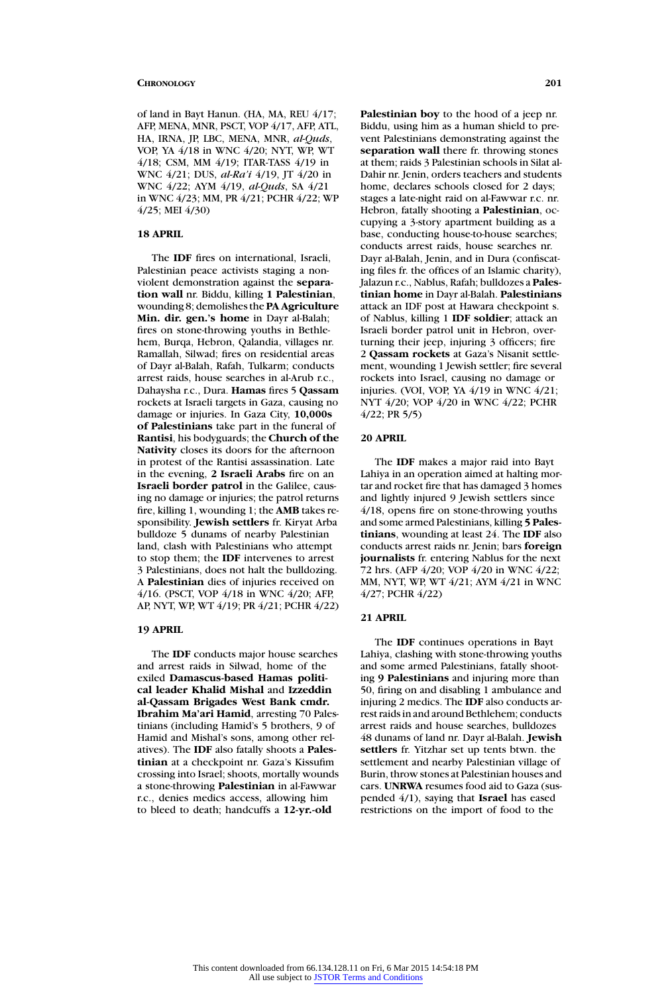of land in Bayt Hanun. (HA, MA, REU 4/17; AFP, MENA, MNR, PSCT, VOP 4/17, AFP, ATL, HA, IRNA, JP, LBC, MENA, MNR, *al-Quds*, VOP, YA 4/18 in WNC 4/20; NYT, WP, WT 4/18; CSM, MM 4/19; ITAR-TASS 4/19 in WNC 4/21; DUS, *al-Ra'i* 4/19, JT 4/20 in WNC 4/22; AYM 4/19, *al-Quds*, SA 4/21 in WNC 4/23; MM, PR 4/21; PCHR 4/22; WP 4/25; MEI 4/30)

### **18 APRIL**

The **IDF** fires on international, Israeli, Palestinian peace activists staging a nonviolent demonstration against the **separation wall** nr. Biddu, killing **1 Palestinian**, wounding 8; demolishes the **PA Agriculture Min. dir. gen.'s home** in Dayr al-Balah; fires on stone-throwing youths in Bethlehem, Burqa, Hebron, Qalandia, villages nr. Ramallah, Silwad; fires on residential areas of Dayr al-Balah, Rafah, Tulkarm; conducts arrest raids, house searches in al-Arub r.c., Dahaysha r.c., Dura. **Hamas** fires 5 **Qassam** rockets at Israeli targets in Gaza, causing no damage or injuries. In Gaza City, **10,000s of Palestinians** take part in the funeral of **Rantisi**, his bodyguards; the **Church of the Nativity** closes its doors for the afternoon in protest of the Rantisi assassination. Late in the evening, **2 Israeli Arabs** fire on an **Israeli border patrol** in the Galilee, causing no damage or injuries; the patrol returns fire, killing 1, wounding 1; the **AMB** takes responsibility. **Jewish settlers** fr. Kiryat Arba bulldoze 5 dunams of nearby Palestinian land, clash with Palestinians who attempt to stop them; the **IDF** intervenes to arrest 3 Palestinians, does not halt the bulldozing. A **Palestinian** dies of injuries received on 4/16. (PSCT, VOP 4/18 in WNC 4/20; AFP, AP, NYT, WP, WT 4/19; PR 4/21; PCHR 4/22)

### **19 APRIL**

The **IDF** conducts major house searches and arrest raids in Silwad, home of the exiled **Damascus-based Hamas political leader Khalid Mishal** and **Izzeddin al-Qassam Brigades West Bank cmdr. Ibrahim Ma'ari Hamid**, arresting 70 Palestinians (including Hamid's 5 brothers, 9 of Hamid and Mishal's sons, among other relatives). The **IDF** also fatally shoots a **Palestinian** at a checkpoint nr. Gaza's Kissufim crossing into Israel; shoots, mortally wounds a stone-throwing **Palestinian** in al-Fawwar r.c., denies medics access, allowing him to bleed to death; handcuffs a **12-yr.-old**

**Palestinian boy** to the hood of a jeep nr. Biddu, using him as a human shield to prevent Palestinians demonstrating against the **separation wall** there fr. throwing stones at them; raids 3 Palestinian schools in Silat al-Dahir nr. Jenin, orders teachers and students home, declares schools closed for 2 days; stages a late-night raid on al-Fawwar r.c. nr. Hebron, fatally shooting a **Palestinian**, occupying a 3-story apartment building as a base, conducting house-to-house searches; conducts arrest raids, house searches nr. Dayr al-Balah, Jenin, and in Dura (confiscating files fr. the offices of an Islamic charity), Jalazun r.c., Nablus, Rafah; bulldozes a **Palestinian home** in Dayr al-Balah. **Palestinians** attack an IDF post at Hawara checkpoint s. of Nablus, killing 1 **IDF soldier**; attack an Israeli border patrol unit in Hebron, overturning their jeep, injuring 3 officers; fire 2 **Qassam rockets** at Gaza's Nisanit settlement, wounding 1 Jewish settler; fire several rockets into Israel, causing no damage or injuries. (VOI, VOP, YA 4/19 in WNC 4/21; NYT 4/20; VOP 4/20 in WNC 4/22; PCHR 4/22; PR 5/5)

### **20 APRIL**

The **IDF** makes a major raid into Bayt Lahiya in an operation aimed at halting mortar and rocket fire that has damaged 3 homes and lightly injured 9 Jewish settlers since 4/18, opens fire on stone-throwing youths and some armed Palestinians, killing **5 Palestinians**, wounding at least 24. The **IDF** also conducts arrest raids nr. Jenin; bars **foreign journalists** fr. entering Nablus for the next 72 hrs. (AFP 4/20; VOP 4/20 in WNC 4/22; MM, NYT, WP, WT 4/21; AYM 4/21 in WNC 4/27; PCHR 4/22)

# **21 APRIL**

The **IDF** continues operations in Bayt Lahiya, clashing with stone-throwing youths and some armed Palestinians, fatally shooting **9 Palestinians** and injuring more than 50, firing on and disabling 1 ambulance and injuring 2 medics. The **IDF** also conducts arrest raids in and around Bethlehem; conducts arrest raids and house searches, bulldozes 48 dunams of land nr. Dayr al-Balah. **Jewish settlers** fr. Yitzhar set up tents btwn. the settlement and nearby Palestinian village of Burin, throw stones at Palestinian houses and cars. **UNRWA** resumes food aid to Gaza (suspended 4/1), saying that **Israel** has eased restrictions on the import of food to the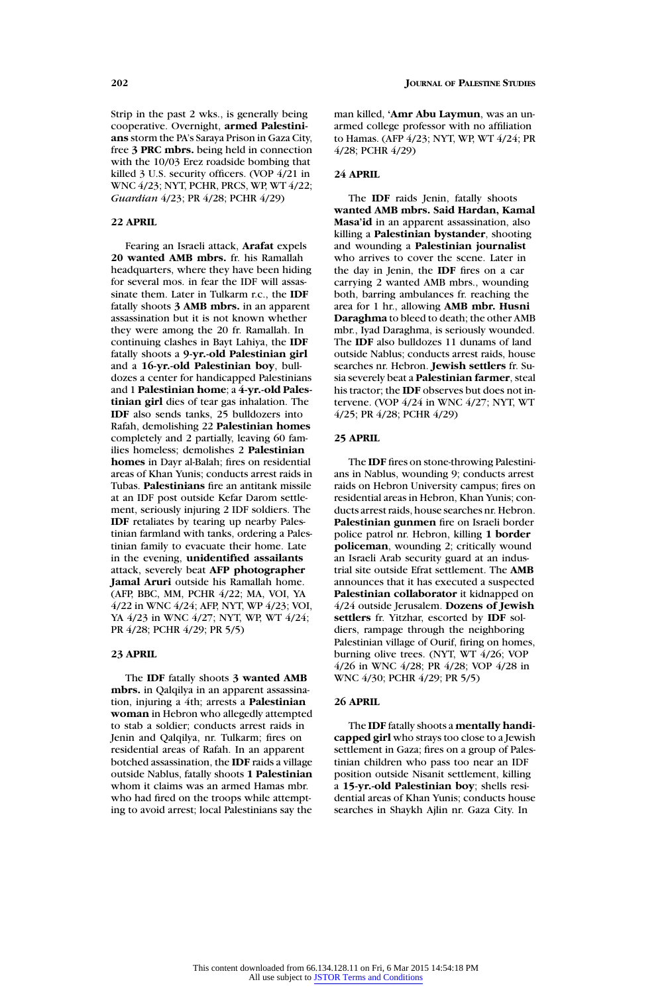Strip in the past 2 wks., is generally being cooperative. Overnight, **armed Palestinians** storm the PA's Saraya Prison in Gaza City, free **3 PRC mbrs.** being held in connection with the 10/03 Erez roadside bombing that killed 3 U.S. security officers. (VOP 4/21 in WNC 4/23; NYT, PCHR, PRCS, WP, WT 4/22; *Guardian* 4/23; PR 4/28; PCHR 4/29)

# **22 APRIL**

Fearing an Israeli attack, **Arafat** expels **20 wanted AMB mbrs.** fr. his Ramallah headquarters, where they have been hiding for several mos. in fear the IDF will assassinate them. Later in Tulkarm r.c., the **IDF** fatally shoots **3 AMB mbrs.** in an apparent assassination but it is not known whether they were among the 20 fr. Ramallah. In continuing clashes in Bayt Lahiya, the **IDF** fatally shoots a **9-yr.-old Palestinian girl** and a **16-yr.-old Palestinian boy**, bulldozes a center for handicapped Palestinians and 1 **Palestinian home**; a **4-yr.-old Palestinian girl** dies of tear gas inhalation. The **IDF** also sends tanks, 25 bulldozers into Rafah, demolishing 22 **Palestinian homes** completely and 2 partially, leaving 60 families homeless; demolishes 2 **Palestinian homes** in Dayr al-Balah; fires on residential areas of Khan Yunis; conducts arrest raids in Tubas. **Palestinians** fire an antitank missile at an IDF post outside Kefar Darom settlement, seriously injuring 2 IDF soldiers. The **IDF** retaliates by tearing up nearby Palestinian farmland with tanks, ordering a Palestinian family to evacuate their home. Late in the evening, **unidentified assailants** attack, severely beat **AFP photographer Jamal Aruri** outside his Ramallah home. (AFP, BBC, MM, PCHR 4/22; MA, VOI, YA 4/22 in WNC 4/24; AFP, NYT, WP 4/23; VOI, YA 4/23 in WNC 4/27; NYT, WP, WT 4/24; PR 4/28; PCHR 4/29; PR 5/5)

### **23 APRIL**

The **IDF** fatally shoots **3 wanted AMB mbrs.** in Qalqilya in an apparent assassination, injuring a 4th; arrests a **Palestinian woman** in Hebron who allegedly attempted to stab a soldier; conducts arrest raids in Jenin and Qalqilya, nr. Tulkarm; fires on residential areas of Rafah. In an apparent botched assassination, the **IDF** raids a village outside Nablus, fatally shoots **1 Palestinian** whom it claims was an armed Hamas mbr. who had fired on the troops while attempting to avoid arrest; local Palestinians say the

man killed, **'Amr Abu Laymun**, was an unarmed college professor with no affiliation to Hamas. (AFP 4/23; NYT, WP, WT 4/24; PR 4/28; PCHR 4/29)

### **24 APRIL**

The **IDF** raids Jenin, fatally shoots **wanted AMB mbrs. Said Hardan, Kamal Masa'id** in an apparent assassination, also killing a **Palestinian bystander**, shooting and wounding a **Palestinian journalist** who arrives to cover the scene. Later in the day in Jenin, the **IDF** fires on a car carrying 2 wanted AMB mbrs., wounding both, barring ambulances fr. reaching the area for 1 hr., allowing **AMB mbr. Husni Daraghma** to bleed to death; the other AMB mbr., Iyad Daraghma, is seriously wounded. The **IDF** also bulldozes 11 dunams of land outside Nablus; conducts arrest raids, house searches nr. Hebron. **Jewish settlers** fr. Susia severely beat a **Palestinian farmer**, steal his tractor; the **IDF** observes but does not intervene. (VOP 4/24 in WNC 4/27; NYT, WT 4/25; PR 4/28; PCHR 4/29)

### **25 APRIL**

The **IDF** fires on stone-throwing Palestinians in Nablus, wounding 9; conducts arrest raids on Hebron University campus; fires on residential areas in Hebron, Khan Yunis; conducts arrest raids, house searches nr. Hebron. **Palestinian gunmen** fire on Israeli border police patrol nr. Hebron, killing **1 border policeman**, wounding 2; critically wound an Israeli Arab security guard at an industrial site outside Efrat settlement. The **AMB** announces that it has executed a suspected **Palestinian collaborator** it kidnapped on 4/24 outside Jerusalem. **Dozens of Jewish settlers** fr. Yitzhar, escorted by **IDF** soldiers, rampage through the neighboring Palestinian village of Ourif, firing on homes, burning olive trees. (NYT, WT 4/26; VOP 4/26 in WNC 4/28; PR 4/28; VOP 4/28 in WNC 4/30; PCHR 4/29; PR 5/5)

### **26 APRIL**

The **IDF** fatally shoots a **mentally handicapped girl** who strays too close to a Jewish settlement in Gaza; fires on a group of Palestinian children who pass too near an IDF position outside Nisanit settlement, killing a **15-yr.-old Palestinian boy**; shells residential areas of Khan Yunis; conducts house searches in Shaykh Ajlin nr. Gaza City. In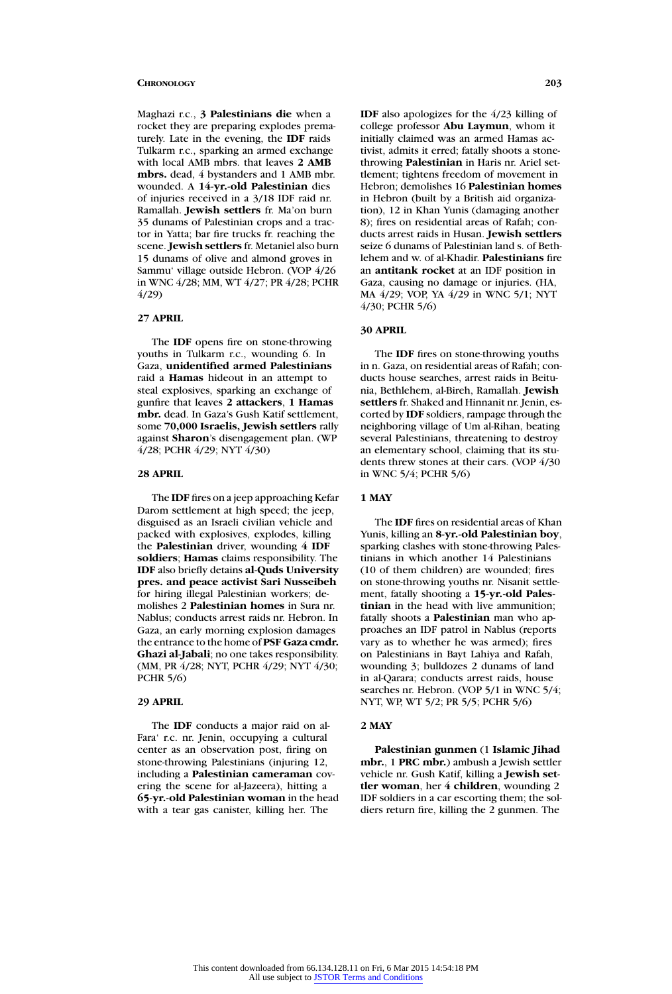Maghazi r.c., **3 Palestinians die** when a rocket they are preparing explodes prematurely. Late in the evening, the **IDF** raids Tulkarm r.c., sparking an armed exchange with local AMB mbrs. that leaves **2 AMB mbrs.** dead, 4 bystanders and 1 AMB mbr. wounded. A **14-yr.-old Palestinian** dies of injuries received in a 3/18 IDF raid nr. Ramallah. **Jewish settlers** fr. Ma'on burn 35 dunams of Palestinian crops and a tractor in Yatta; bar fire trucks fr. reaching the scene. **Jewish settlers** fr. Metaniel also burn 15 dunams of olive and almond groves in Sammu' village outside Hebron. (VOP 4/26 in WNC 4/28; MM, WT 4/27; PR 4/28; PCHR 4/29)

### **27 APRIL**

The **IDF** opens fire on stone-throwing youths in Tulkarm r.c., wounding 6. In Gaza, **unidentified armed Palestinians** raid a **Hamas** hideout in an attempt to steal explosives, sparking an exchange of gunfire that leaves **2 attackers**, **1 Hamas mbr.** dead. In Gaza's Gush Katif settlement, some **70,000 Israelis, Jewish settlers** rally against **Sharon**'s disengagement plan. (WP 4/28; PCHR 4/29; NYT 4/30)

# **28 APRIL**

The **IDF** fires on a jeep approaching Kefar Darom settlement at high speed; the jeep, disguised as an Israeli civilian vehicle and packed with explosives, explodes, killing the **Palestinian** driver, wounding **4 IDF soldiers**; **Hamas** claims responsibility. The **IDF** also briefly detains **al-Quds University pres. and peace activist Sari Nusseibeh** for hiring illegal Palestinian workers; demolishes 2 **Palestinian homes** in Sura nr. Nablus; conducts arrest raids nr. Hebron. In Gaza, an early morning explosion damages the entrance to the home of **PSF Gaza cmdr. Ghazi al-Jabali**; no one takes responsibility. (MM, PR 4/28; NYT, PCHR 4/29; NYT 4/30; PCHR 5/6)

### **29 APRIL**

The **IDF** conducts a major raid on al-Fara' r.c. nr. Jenin, occupying a cultural center as an observation post, firing on stone-throwing Palestinians (injuring 12, including a **Palestinian cameraman** covering the scene for al-Jazeera), hitting a **65-yr.-old Palestinian woman** in the head with a tear gas canister, killing her. The

**IDF** also apologizes for the 4/23 killing of college professor **Abu Laymun**, whom it initially claimed was an armed Hamas activist, admits it erred; fatally shoots a stonethrowing **Palestinian** in Haris nr. Ariel settlement; tightens freedom of movement in Hebron; demolishes 16 **Palestinian homes** in Hebron (built by a British aid organization), 12 in Khan Yunis (damaging another 8); fires on residential areas of Rafah; conducts arrest raids in Husan. **Jewish settlers** seize 6 dunams of Palestinian land s. of Bethlehem and w. of al-Khadir. **Palestinians** fire an **antitank rocket** at an IDF position in Gaza, causing no damage or injuries. (HA, MA 4/29; VOP, YA 4/29 in WNC 5/1; NYT 4/30; PCHR 5/6)

# **30 APRIL**

The **IDF** fires on stone-throwing youths in n. Gaza, on residential areas of Rafah; conducts house searches, arrest raids in Beitunia, Bethlehem, al-Bireh, Ramallah. **Jewish settlers** fr. Shaked and Hinnanit nr. Jenin, escorted by **IDF** soldiers, rampage through the neighboring village of Um al-Rihan, beating several Palestinians, threatening to destroy an elementary school, claiming that its students threw stones at their cars. (VOP 4/30 in WNC 5/4; PCHR 5/6)

# **1 MAY**

The **IDF** fires on residential areas of Khan Yunis, killing an **8-yr.-old Palestinian boy**, sparking clashes with stone-throwing Palestinians in which another 14 Palestinians (10 of them children) are wounded; fires on stone-throwing youths nr. Nisanit settlement, fatally shooting a **15-yr.-old Palestinian** in the head with live ammunition; fatally shoots a **Palestinian** man who approaches an IDF patrol in Nablus (reports vary as to whether he was armed); fires on Palestinians in Bayt Lahiya and Rafah, wounding 3; bulldozes 2 dunams of land in al-Qarara; conducts arrest raids, house searches nr. Hebron. (VOP 5/1 in WNC 5/4; NYT, WP, WT 5/2; PR 5/5; PCHR 5/6)

# **2 MAY**

**Palestinian gunmen** (1 **Islamic Jihad mbr.**, 1 **PRC mbr.**) ambush a Jewish settler vehicle nr. Gush Katif, killing a **Jewish settler woman**, her **4 children**, wounding 2 IDF soldiers in a car escorting them; the soldiers return fire, killing the 2 gunmen. The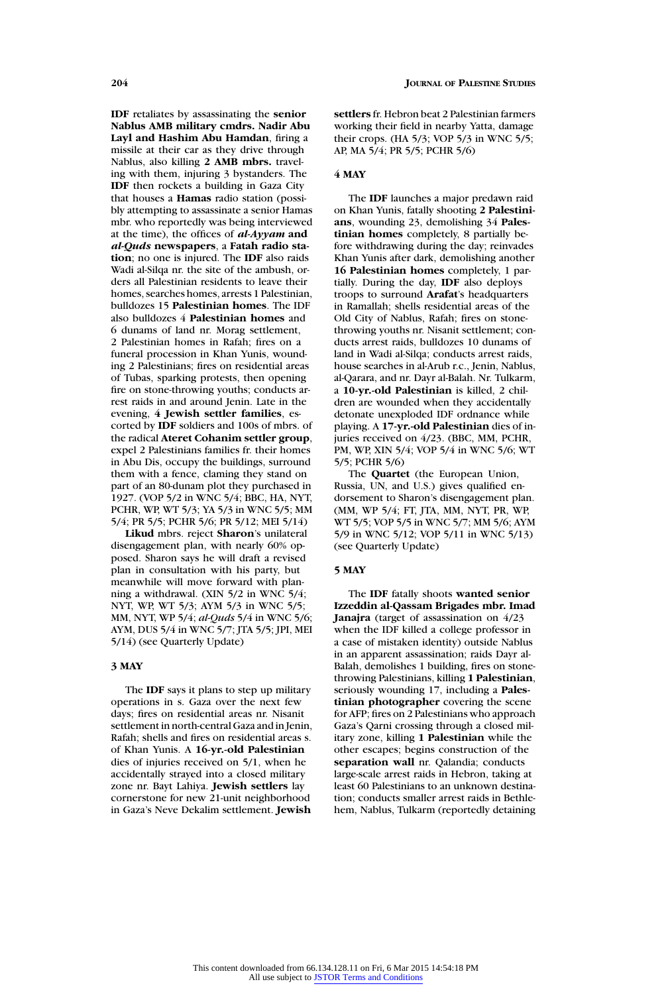**IDF** retaliates by assassinating the **senior Nablus AMB military cmdrs. Nadir Abu Layl and Hashim Abu Hamdan**, firing a missile at their car as they drive through Nablus, also killing **2 AMB mbrs.** traveling with them, injuring 3 bystanders. The **IDF** then rockets a building in Gaza City that houses a **Hamas** radio station (possibly attempting to assassinate a senior Hamas mbr. who reportedly was being interviewed at the time), the offices of *al-Ayyam* **and** *al-Quds* **newspapers**, a **Fatah radio station**; no one is injured. The **IDF** also raids Wadi al-Silqa nr. the site of the ambush, orders all Palestinian residents to leave their homes, searches homes, arrests 1 Palestinian, bulldozes 15 **Palestinian homes**. The IDF also bulldozes 4 **Palestinian homes** and 6 dunams of land nr. Morag settlement, 2 Palestinian homes in Rafah; fires on a funeral procession in Khan Yunis, wounding 2 Palestinians; fires on residential areas of Tubas, sparking protests, then opening fire on stone-throwing youths; conducts arrest raids in and around Jenin. Late in the evening, **4 Jewish settler families**, escorted by **IDF** soldiers and 100s of mbrs. of the radical **Ateret Cohanim settler group**, expel 2 Palestinians families fr. their homes in Abu Dis, occupy the buildings, surround them with a fence, claming they stand on part of an 80-dunam plot they purchased in 1927. (VOP 5/2 in WNC 5/4; BBC, HA, NYT, PCHR, WP, WT 5/3; YA 5/3 in WNC 5/5; MM 5/4; PR 5/5; PCHR 5/6; PR 5/12; MEI 5/14)

**Likud** mbrs. reject **Sharon**'s unilateral disengagement plan, with nearly 60% opposed. Sharon says he will draft a revised plan in consultation with his party, but meanwhile will move forward with planning a withdrawal. (XIN 5/2 in WNC 5/4; NYT, WP, WT 5/3; AYM 5/3 in WNC 5/5; MM, NYT, WP 5/4; *al-Quds* 5/4 in WNC 5/6; AYM, DUS 5/4 in WNC 5/7; JTA 5/5; JPI, MEI 5/14) (see Quarterly Update)

# **3 MAY**

The **IDF** says it plans to step up military operations in s. Gaza over the next few days; fires on residential areas nr. Nisanit settlement in north-central Gaza and in Jenin, Rafah; shells and fires on residential areas s. of Khan Yunis. A **16-yr.-old Palestinian** dies of injuries received on 5/1, when he accidentally strayed into a closed military zone nr. Bayt Lahiya. **Jewish settlers** lay cornerstone for new 21-unit neighborhood in Gaza's Neve Dekalim settlement. **Jewish**

**settlers** fr. Hebron beat 2 Palestinian farmers working their field in nearby Yatta, damage their crops. (HA 5/3; VOP 5/3 in WNC 5/5; AP, MA 5/4; PR 5/5; PCHR 5/6)

#### **4 MAY**

The **IDF** launches a major predawn raid on Khan Yunis, fatally shooting **2 Palestinians**, wounding 23, demolishing 34 **Palestinian homes** completely, 8 partially before withdrawing during the day; reinvades Khan Yunis after dark, demolishing another **16 Palestinian homes** completely, 1 partially. During the day, **IDF** also deploys troops to surround **Arafat**'s headquarters in Ramallah; shells residential areas of the Old City of Nablus, Rafah; fires on stonethrowing youths nr. Nisanit settlement; conducts arrest raids, bulldozes 10 dunams of land in Wadi al-Silqa; conducts arrest raids, house searches in al-Arub r.c., Jenin, Nablus, al-Qarara, and nr. Dayr al-Balah. Nr. Tulkarm, a **10-yr.-old Palestinian** is killed, 2 children are wounded when they accidentally detonate unexploded IDF ordnance while playing. A **17-yr.-old Palestinian** dies of injuries received on 4/23. (BBC, MM, PCHR, PM, WP, XIN 5/4; VOP 5/4 in WNC 5/6; WT 5/5; PCHR 5/6)

The **Quartet** (the European Union, Russia, UN, and U.S.) gives qualified endorsement to Sharon's disengagement plan. (MM, WP 5/4; FT, JTA, MM, NYT, PR, WP, WT 5/5; VOP 5/5 in WNC 5/7; MM 5/6; AYM 5/9 in WNC 5/12; VOP 5/11 in WNC 5/13) (see Quarterly Update)

### **5 MAY**

The **IDF** fatally shoots **wanted senior Izzeddin al-Qassam Brigades mbr. Imad Janajra** (target of assassination on 4/23 when the IDF killed a college professor in a case of mistaken identity) outside Nablus in an apparent assassination; raids Dayr al-Balah, demolishes 1 building, fires on stonethrowing Palestinians, killing **1 Palestinian**, seriously wounding 17, including a **Palestinian photographer** covering the scene for AFP; fires on 2 Palestinians who approach Gaza's Qarni crossing through a closed military zone, killing **1 Palestinian** while the other escapes; begins construction of the **separation wall** nr. Qalandia; conducts large-scale arrest raids in Hebron, taking at least 60 Palestinians to an unknown destination; conducts smaller arrest raids in Bethlehem, Nablus, Tulkarm (reportedly detaining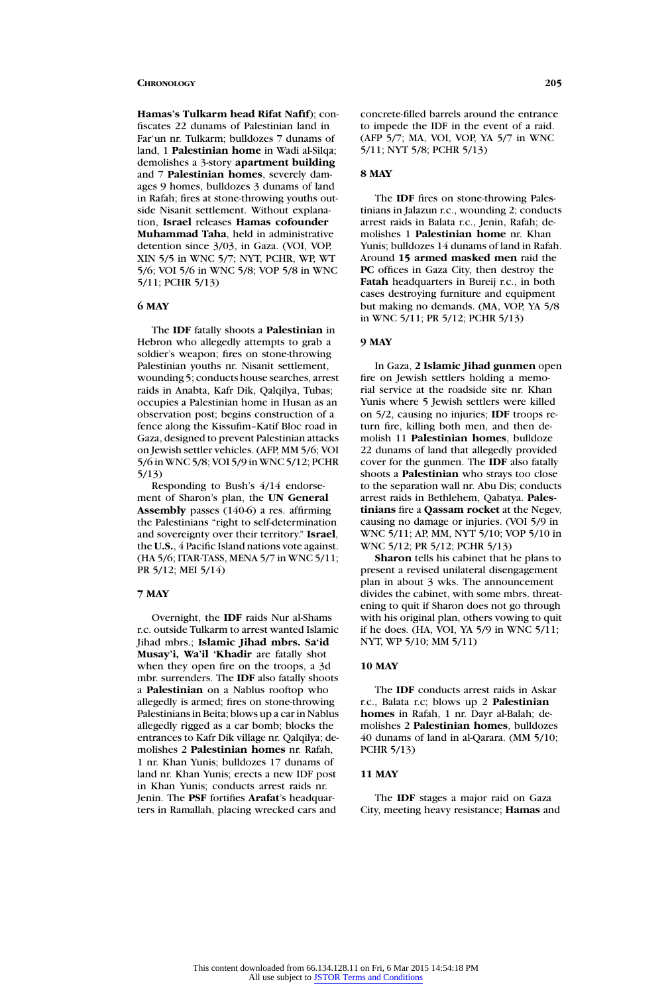**Hamas's Tulkarm head Rifat Nafif**); confiscates 22 dunams of Palestinian land in Far'un nr. Tulkarm; bulldozes 7 dunams of land, 1 **Palestinian home** in Wadi al-Silqa; demolishes a 3-story **apartment building** and 7 **Palestinian homes**, severely damages 9 homes, bulldozes 3 dunams of land in Rafah; fires at stone-throwing youths outside Nisanit settlement. Without explanation, **Israel** releases **Hamas cofounder Muhammad Taha**, held in administrative detention since 3/03, in Gaza. (VOI, VOP, XIN 5/5 in WNC 5/7; NYT, PCHR, WP, WT 5/6; VOI 5/6 in WNC 5/8; VOP 5/8 in WNC 5/11; PCHR 5/13)

### **6 MAY**

The **IDF** fatally shoots a **Palestinian** in Hebron who allegedly attempts to grab a soldier's weapon; fires on stone-throwing Palestinian youths nr. Nisanit settlement, wounding 5; conducts house searches, arrest raids in Anabta, Kafr Dik, Qalqilya, Tubas; occupies a Palestinian home in Husan as an observation post; begins construction of a fence along the Kissufim–Katif Bloc road in Gaza, designed to prevent Palestinian attacks on Jewish settler vehicles. (AFP, MM 5/6; VOI 5/6 in WNC 5/8; VOI 5/9 in WNC 5/12; PCHR 5/13)

Responding to Bush's 4/14 endorsement of Sharon's plan, the **UN General Assembly** passes (140-6) a res. affirming the Palestinians "right to self-determination and sovereignty over their territory." **Israel**, the **U.S.**, 4 Pacific Island nations vote against. (HA 5/6; ITAR-TASS, MENA 5/7 in WNC 5/11; PR 5/12; MEI 5/14)

### **7 MAY**

Overnight, the **IDF** raids Nur al-Shams r.c. outside Tulkarm to arrest wanted Islamic Jihad mbrs.; **Islamic Jihad mbrs. Sa'id Musay'i, Wa'il 'Khadir** are fatally shot when they open fire on the troops, a 3d mbr. surrenders. The **IDF** also fatally shoots a **Palestinian** on a Nablus rooftop who allegedly is armed; fires on stone-throwing Palestinians in Beita; blows up a car in Nablus allegedly rigged as a car bomb; blocks the entrances to Kafr Dik village nr. Qalqilya; demolishes 2 **Palestinian homes** nr. Rafah, 1 nr. Khan Yunis; bulldozes 17 dunams of land nr. Khan Yunis; erects a new IDF post in Khan Yunis; conducts arrest raids nr. Jenin. The **PSF** fortifies **Arafat**'s headquarters in Ramallah, placing wrecked cars and

concrete-filled barrels around the entrance to impede the IDF in the event of a raid. (AFP 5/7; MA, VOI, VOP, YA 5/7 in WNC 5/11; NYT 5/8; PCHR 5/13)

#### **8 MAY**

The **IDF** fires on stone-throwing Palestinians in Jalazun r.c., wounding 2; conducts arrest raids in Balata r.c., Jenin, Rafah; demolishes 1 **Palestinian home** nr. Khan Yunis; bulldozes 14 dunams of land in Rafah. Around **15 armed masked men** raid the **PC** offices in Gaza City, then destroy the **Fatah** headquarters in Bureij r.c., in both cases destroying furniture and equipment but making no demands. (MA, VOP, YA 5/8 in WNC 5/11; PR 5/12; PCHR 5/13)

# **9 MAY**

In Gaza, **2 Islamic Jihad gunmen** open fire on Jewish settlers holding a memorial service at the roadside site nr. Khan Yunis where 5 Jewish settlers were killed on 5/2, causing no injuries; **IDF** troops return fire, killing both men, and then demolish 11 **Palestinian homes**, bulldoze 22 dunams of land that allegedly provided cover for the gunmen. The **IDF** also fatally shoots a **Palestinian** who strays too close to the separation wall nr. Abu Dis; conducts arrest raids in Bethlehem, Qabatya. **Palestinians** fire a **Qassam rocket** at the Negev, causing no damage or injuries. (VOI 5/9 in WNC 5/11; AP, MM, NYT 5/10; VOP 5/10 in WNC 5/12; PR 5/12; PCHR 5/13)

**Sharon** tells his cabinet that he plans to present a revised unilateral disengagement plan in about 3 wks. The announcement divides the cabinet, with some mbrs. threatening to quit if Sharon does not go through with his original plan, others vowing to quit if he does. (HA, VOI, YA 5/9 in WNC 5/11; NYT, WP 5/10; MM 5/11)

### **10 MAY**

The **IDF** conducts arrest raids in Askar r.c., Balata r.c; blows up 2 **Palestinian homes** in Rafah, 1 nr. Dayr al-Balah; demolishes 2 **Palestinian homes**, bulldozes 40 dunams of land in al-Qarara. (MM 5/10; PCHR 5/13)

### **11 MAY**

The **IDF** stages a major raid on Gaza City, meeting heavy resistance; **Hamas** and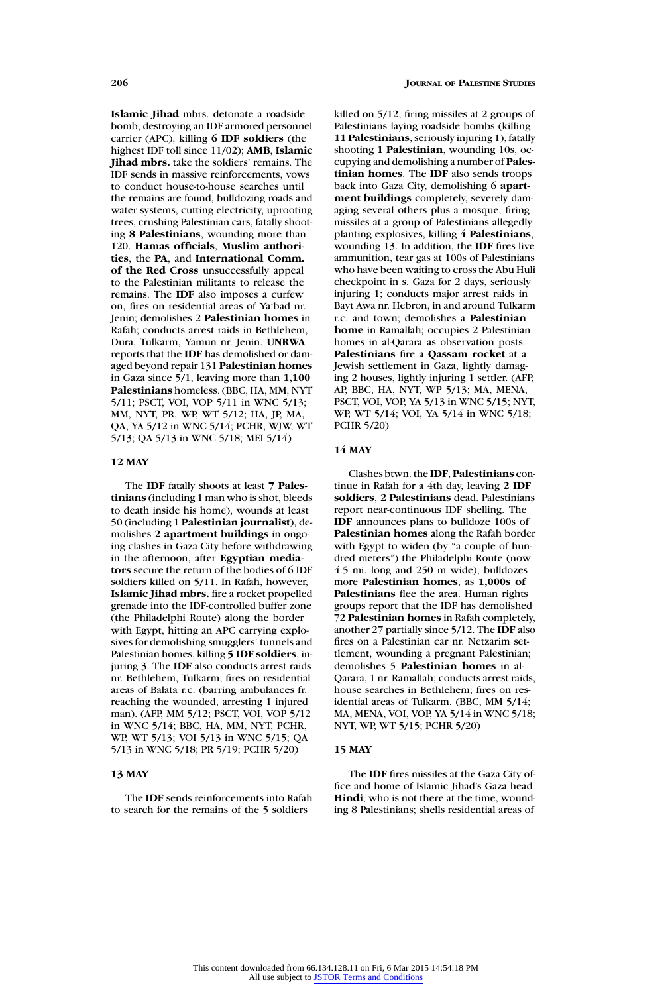**Islamic Jihad** mbrs. detonate a roadside bomb, destroying an IDF armored personnel carrier (APC), killing **6 IDF soldiers** (the highest IDF toll since 11/02); **AMB**, **Islamic Jihad mbrs.** take the soldiers' remains. The IDF sends in massive reinforcements, vows to conduct house-to-house searches until the remains are found, bulldozing roads and water systems, cutting electricity, uprooting trees, crushing Palestinian cars, fatally shooting **8 Palestinians**, wounding more than 120. **Hamas officials**, **Muslim authorities**, the **PA**, and **International Comm. of the Red Cross** unsuccessfully appeal to the Palestinian militants to release the remains. The **IDF** also imposes a curfew on, fires on residential areas of Ya'bad nr. Jenin; demolishes 2 **Palestinian homes** in Rafah; conducts arrest raids in Bethlehem, Dura, Tulkarm, Yamun nr. Jenin. **UNRWA** reports that the **IDF** has demolished or damaged beyond repair 131 **Palestinian homes** in Gaza since 5/1, leaving more than **1,100 Palestinians** homeless. (BBC, HA, MM, NYT 5/11; PSCT, VOI, VOP 5/11 in WNC 5/13; MM, NYT, PR, WP, WT 5/12; HA, JP, MA, QA, YA 5/12 in WNC 5/14; PCHR, WJW, WT 5/13; QA 5/13 in WNC 5/18; MEI 5/14)

# **12 MAY**

The **IDF** fatally shoots at least **7 Palestinians** (including 1 man who is shot, bleeds to death inside his home), wounds at least 50 (including 1 **Palestinian journalist**), demolishes **2 apartment buildings** in ongoing clashes in Gaza City before withdrawing in the afternoon, after **Egyptian mediators** secure the return of the bodies of 6 IDF soldiers killed on 5/11. In Rafah, however, **Islamic Jihad mbrs.** fire a rocket propelled grenade into the IDF-controlled buffer zone (the Philadelphi Route) along the border with Egypt, hitting an APC carrying explosives for demolishing smugglers' tunnels and Palestinian homes, killing **5 IDF soldiers**, injuring 3. The **IDF** also conducts arrest raids nr. Bethlehem, Tulkarm; fires on residential areas of Balata r.c. (barring ambulances fr. reaching the wounded, arresting 1 injured man). (AFP, MM 5/12; PSCT, VOI, VOP 5/12 in WNC 5/14; BBC, HA, MM, NYT, PCHR, WP, WT 5/13; VOI 5/13 in WNC 5/15; QA 5/13 in WNC 5/18; PR 5/19; PCHR 5/20)

### **13 MAY**

The **IDF** sends reinforcements into Rafah to search for the remains of the 5 soldiers

killed on 5/12, firing missiles at 2 groups of Palestinians laying roadside bombs (killing **11 Palestinians**, seriously injuring 1), fatally shooting **1 Palestinian**, wounding 10s, occupying and demolishing a number of **Palestinian homes**. The **IDF** also sends troops back into Gaza City, demolishing 6 **apartment buildings** completely, severely damaging several others plus a mosque, firing missiles at a group of Palestinians allegedly planting explosives, killing **4 Palestinians**, wounding 13. In addition, the **IDF** fires live ammunition, tear gas at 100s of Palestinians who have been waiting to cross the Abu Huli checkpoint in s. Gaza for 2 days, seriously injuring 1; conducts major arrest raids in Bayt Awa nr. Hebron, in and around Tulkarm r.c. and town; demolishes a **Palestinian home** in Ramallah; occupies 2 Palestinian homes in al-Qarara as observation posts. **Palestinians** fire a **Qassam rocket** at a Jewish settlement in Gaza, lightly damaging 2 houses, lightly injuring 1 settler. (AFP, AP, BBC, HA, NYT, WP 5/13; MA, MENA, PSCT, VOI, VOP, YA 5/13 in WNC 5/15; NYT, WP, WT 5/14; VOI, YA 5/14 in WNC 5/18; PCHR 5/20)

### **14 MAY**

Clashes btwn. the **IDF**, **Palestinians** continue in Rafah for a 4th day, leaving **2 IDF soldiers**, **2 Palestinians** dead. Palestinians report near-continuous IDF shelling. The **IDF** announces plans to bulldoze 100s of **Palestinian homes** along the Rafah border with Egypt to widen (by "a couple of hundred meters") the Philadelphi Route (now 4.5 mi. long and 250 m wide); bulldozes more **Palestinian homes**, as **1,000s of Palestinians** flee the area. Human rights groups report that the IDF has demolished 72 **Palestinian homes** in Rafah completely, another 27 partially since 5/12. The **IDF** also fires on a Palestinian car nr. Netzarim settlement, wounding a pregnant Palestinian; demolishes 5 **Palestinian homes** in al-Qarara, 1 nr. Ramallah; conducts arrest raids, house searches in Bethlehem; fires on residential areas of Tulkarm. (BBC, MM 5/14; MA, MENA, VOI, VOP, YA 5/14 in WNC 5/18; NYT, WP, WT 5/15; PCHR 5/20)

### **15 MAY**

The **IDF** fires missiles at the Gaza City office and home of Islamic Jihad's Gaza head **Hindi**, who is not there at the time, wounding 8 Palestinians; shells residential areas of